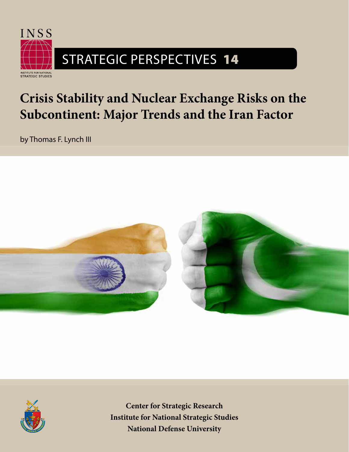

# **Crisis Stability and Nuclear Exchange Risks on the Subcontinent: Major Trends and the Iran Factor**

by Thomas F. Lynch III





**Center for Strategic Research Institute for National Strategic Studies National Defense University**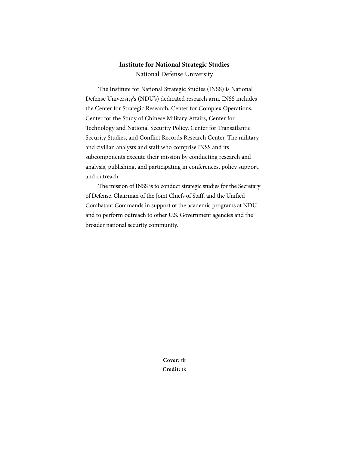## **Institute for National Strategic Studies**

National Defense University

The Institute for National Strategic Studies (INSS) is National Defense University's (NDU's) dedicated research arm. INSS includes the Center for Strategic Research, Center for Complex Operations, Center for the Study of Chinese Military Affairs, Center for Technology and National Security Policy, Center for Transatlantic Security Studies, and Conflict Records Research Center. The military and civilian analysts and staff who comprise INSS and its subcomponents execute their mission by conducting research and analysis, publishing, and participating in conferences, policy support, and outreach.

The mission of INSS is to conduct strategic studies for the Secretary of Defense, Chairman of the Joint Chiefs of Staff, and the Unified Combatant Commands in support of the academic programs at NDU and to perform outreach to other U.S. Government agencies and the broader national security community.

> **Cover:** tk **Credit:** tk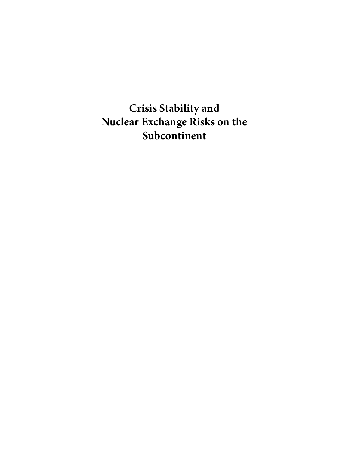**Crisis Stability and Nuclear Exchange Risks on the Subcontinent**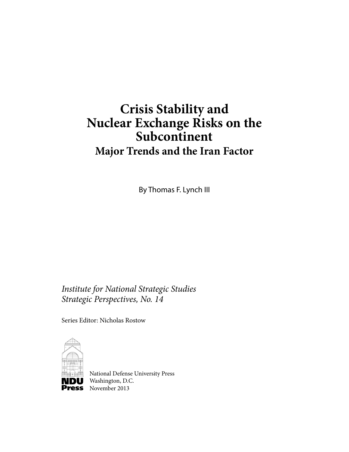## **Crisis Stability and Nuclear Exchange Risks on the Subcontinent Major Trends and the Iran Factor**

By Thomas F. Lynch III

*Institute for National Strategic Studies Strategic Perspectives, No. 14*

Series Editor: Nicholas Rostow



National Defense University Press **NDU** Washington, D.C. **Press** November 2013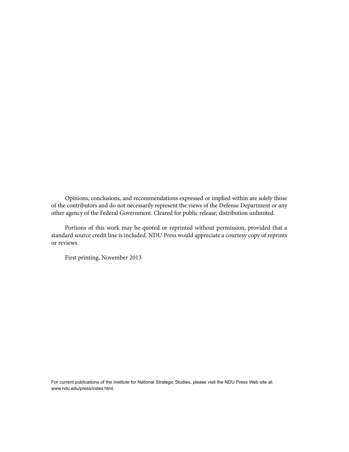Opinions, conclusions, and recommendations expressed or implied within are solely those of the contributors and do not necessarily represent the views of the Defense Department or any other agency of the Federal Government. Cleared for public release; distribution unlimited.

Portions of this work may be quoted or reprinted without permission, provided that a standard source credit line is included. NDU Press would appreciate a courtesy copy of reprints or reviews.

First printing, November 2013

For current publications of the Institute for National Strategic Studies, please visit the NDU Press Web site at: www.ndu.edu/press/index.html.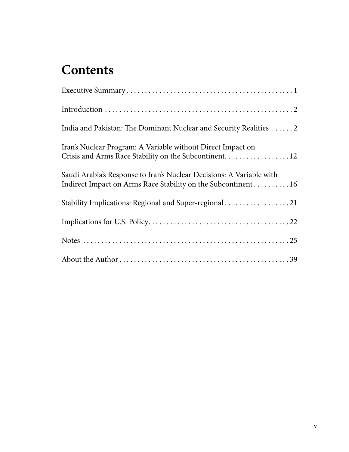## **Contents**

| India and Pakistan: The Dominant Nuclear and Security Realities  2                                                                   |
|--------------------------------------------------------------------------------------------------------------------------------------|
| Iran's Nuclear Program: A Variable without Direct Impact on<br>Crisis and Arms Race Stability on the Subcontinent 12                 |
| Saudi Arabia's Response to Iran's Nuclear Decisions: A Variable with<br>Indirect Impact on Arms Race Stability on the Subcontinent16 |
| Stability Implications: Regional and Super-regional 21                                                                               |
|                                                                                                                                      |
|                                                                                                                                      |
|                                                                                                                                      |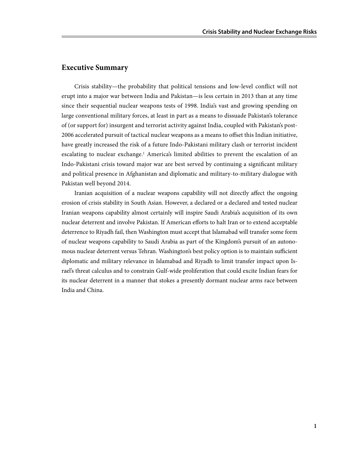## **Executive Summary**

Crisis stability—the probability that political tensions and low-level conflict will not erupt into a major war between India and Pakistan—is less certain in 2013 than at any time since their sequential nuclear weapons tests of 1998. India's vast and growing spending on large conventional military forces, at least in part as a means to dissuade Pakistan's tolerance of (or support for) insurgent and terrorist activity against India, coupled with Pakistan's post-2006 accelerated pursuit of tactical nuclear weapons as a means to offset this Indian initiative, have greatly increased the risk of a future Indo-Pakistani military clash or terrorist incident escalating to nuclear exchange.<sup>1</sup> America's limited abilities to prevent the escalation of an Indo-Pakistani crisis toward major war are best served by continuing a significant military and political presence in Afghanistan and diplomatic and military-to-military dialogue with Pakistan well beyond 2014.

Iranian acquisition of a nuclear weapons capability will not directly affect the ongoing erosion of crisis stability in South Asian. However, a declared or a declared and tested nuclear Iranian weapons capability almost certainly will inspire Saudi Arabia's acquisition of its own nuclear deterrent and involve Pakistan. If American efforts to halt Iran or to extend acceptable deterrence to Riyadh fail, then Washington must accept that Islamabad will transfer some form of nuclear weapons capability to Saudi Arabia as part of the Kingdom's pursuit of an autonomous nuclear deterrent versus Tehran. Washington's best policy option is to maintain sufficient diplomatic and military relevance in Islamabad and Riyadh to limit transfer impact upon Israel's threat calculus and to constrain Gulf-wide proliferation that could excite Indian fears for its nuclear deterrent in a manner that stokes a presently dormant nuclear arms race between India and China.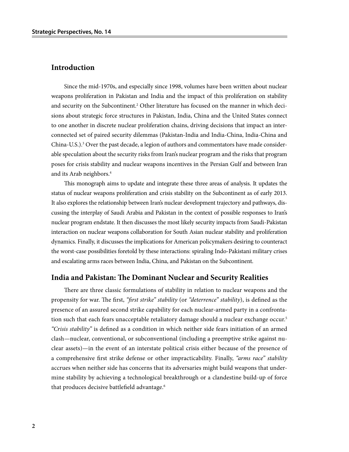### **Introduction**

Since the mid-1970s, and especially since 1998, volumes have been written about nuclear weapons proliferation in Pakistan and India and the impact of this proliferation on stability and security on the Subcontinent.<sup>2</sup> Other literature has focused on the manner in which decisions about strategic force structures in Pakistan, India, China and the United States connect to one another in discrete nuclear proliferation chains, driving decisions that impact an interconnected set of paired security dilemmas (Pakistan-India and India-China, India-China and China-U.S.).<sup>3</sup> Over the past decade, a legion of authors and commentators have made considerable speculation about the security risks from Iran's nuclear program and the risks that program poses for crisis stability and nuclear weapons incentives in the Persian Gulf and between Iran and its Arab neighbors.4

This monograph aims to update and integrate these three areas of analysis. It updates the status of nuclear weapons proliferation and crisis stability on the Subcontinent as of early 2013. It also explores the relationship between Iran's nuclear development trajectory and pathways, discussing the interplay of Saudi Arabia and Pakistan in the context of possible responses to Iran's nuclear program endstate. It then discusses the most likely security impacts from Saudi-Pakistan interaction on nuclear weapons collaboration for South Asian nuclear stability and proliferation dynamics. Finally, it discusses the implications for American policymakers desiring to counteract the worst-case possibilities foretold by these interactions: spiraling Indo-Pakistani military crises and escalating arms races between India, China, and Pakistan on the Subcontinent.

#### **India and Pakistan: The Dominant Nuclear and Security Realities**

There are three classic formulations of stability in relation to nuclear weapons and the propensity for war. The first, *"first strike" stability* (or *"deterrence" stability*), is defined as the presence of an assured second strike capability for each nuclear-armed party in a confrontation such that each fears unacceptable retaliatory damage should a nuclear exchange occur.<sup>5</sup> *"Crisis stability"* is defined as a condition in which neither side fears initiation of an armed clash—nuclear, conventional, or subconventional (including a preemptive strike against nuclear assets)—in the event of an interstate political crisis either because of the presence of a comprehensive first strike defense or other impracticability. Finally, *"arms race" stability* accrues when neither side has concerns that its adversaries might build weapons that undermine stability by achieving a technological breakthrough or a clandestine build-up of force that produces decisive battlefield advantage.6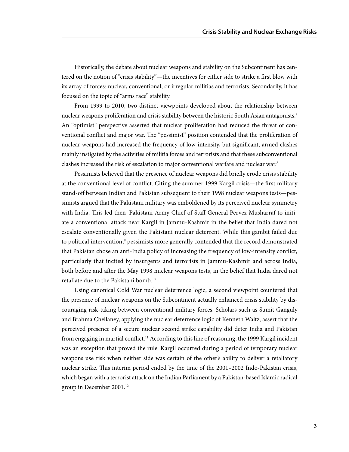Historically, the debate about nuclear weapons and stability on the Subcontinent has centered on the notion of "crisis stability"—the incentives for either side to strike a first blow with its array of forces: nuclear, conventional, or irregular militias and terrorists. Secondarily, it has focused on the topic of "arms race" stability.

From 1999 to 2010, two distinct viewpoints developed about the relationship between nuclear weapons proliferation and crisis stability between the historic South Asian antagonists.7 An "optimist" perspective asserted that nuclear proliferation had reduced the threat of conventional conflict and major war. The "pessimist" position contended that the proliferation of nuclear weapons had increased the frequency of low-intensity, but significant, armed clashes mainly instigated by the activities of militia forces and terrorists and that these subconventional clashes increased the risk of escalation to major conventional warfare and nuclear war.<sup>8</sup>

Pessimists believed that the presence of nuclear weapons did briefly erode crisis stability at the conventional level of conflict. Citing the summer 1999 Kargil crisis—the first military stand-off between Indian and Pakistan subsequent to their 1998 nuclear weapons tests—pessimists argued that the Pakistani military was emboldened by its perceived nuclear symmetry with India. This led then–Pakistani Army Chief of Staff General Pervez Musharraf to initiate a conventional attack near Kargil in Jammu-Kashmir in the belief that India dared not escalate conventionally given the Pakistani nuclear deterrent. While this gambit failed due to political intervention,<sup>9</sup> pessimists more generally contended that the record demonstrated that Pakistan chose an anti-India policy of increasing the frequency of low-intensity conflict, particularly that incited by insurgents and terrorists in Jammu-Kashmir and across India, both before and after the May 1998 nuclear weapons tests, in the belief that India dared not retaliate due to the Pakistani bomb.10

Using canonical Cold War nuclear deterrence logic, a second viewpoint countered that the presence of nuclear weapons on the Subcontinent actually enhanced crisis stability by discouraging risk-taking between conventional military forces. Scholars such as Sumit Ganguly and Brahma Chellaney, applying the nuclear deterrence logic of Kenneth Waltz, assert that the perceived presence of a secure nuclear second strike capability did deter India and Pakistan from engaging in martial conflict.<sup>11</sup> According to this line of reasoning, the 1999 Kargil incident was an exception that proved the rule. Kargil occurred during a period of temporary nuclear weapons use risk when neither side was certain of the other's ability to deliver a retaliatory nuclear strike. This interim period ended by the time of the 2001–2002 Indo-Pakistan crisis, which began with a terrorist attack on the Indian Parliament by a Pakistan-based Islamic radical group in December 2001.12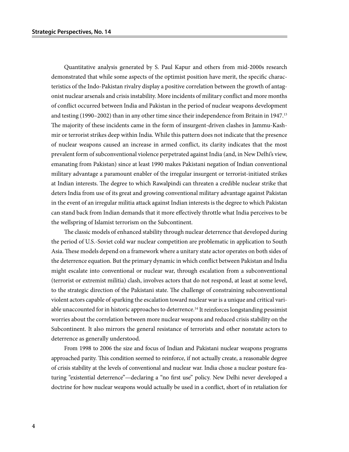Quantitative analysis generated by S. Paul Kapur and others from mid-2000s research demonstrated that while some aspects of the optimist position have merit, the specific characteristics of the Indo-Pakistan rivalry display a positive correlation between the growth of antagonist nuclear arsenals and crisis instability. More incidents of military conflict and more months of conflict occurred between India and Pakistan in the period of nuclear weapons development and testing (1990–2002) than in any other time since their independence from Britain in 1947.13 The majority of these incidents came in the form of insurgent-driven clashes in Jammu-Kashmir or terrorist strikes deep within India. While this pattern does not indicate that the presence of nuclear weapons caused an increase in armed conflict, its clarity indicates that the most prevalent form of subconventional violence perpetrated against India (and, in New Delhi's view, emanating from Pakistan) since at least 1990 makes Pakistani negation of Indian conventional military advantage a paramount enabler of the irregular insurgent or terrorist-initiated strikes at Indian interests. The degree to which Rawalpindi can threaten a credible nuclear strike that deters India from use of its great and growing conventional military advantage against Pakistan in the event of an irregular militia attack against Indian interests is the degree to which Pakistan can stand back from Indian demands that it more effectively throttle what India perceives to be the wellspring of Islamist terrorism on the Subcontinent.

The classic models of enhanced stability through nuclear deterrence that developed during the period of U.S.-Soviet cold war nuclear competition are problematic in application to South Asia. These models depend on a framework where a unitary state actor operates on both sides of the deterrence equation. But the primary dynamic in which conflict between Pakistan and India might escalate into conventional or nuclear war, through escalation from a subconventional (terrorist or extremist militia) clash, involves actors that do not respond, at least at some level, to the strategic direction of the Pakistani state. The challenge of constraining subconventional violent actors capable of sparking the escalation toward nuclear war is a unique and critical variable unaccounted for in historic approaches to deterrence.<sup>14</sup> It reinforces longstanding pessimist worries about the correlation between more nuclear weapons and reduced crisis stability on the Subcontinent. It also mirrors the general resistance of terrorists and other nonstate actors to deterrence as generally understood.

From 1998 to 2006 the size and focus of Indian and Pakistani nuclear weapons programs approached parity. This condition seemed to reinforce, if not actually create, a reasonable degree of crisis stability at the levels of conventional and nuclear war. India chose a nuclear posture featuring "existential deterrence"—declaring a "no first use" policy. New Delhi never developed a doctrine for how nuclear weapons would actually be used in a conflict, short of in retaliation for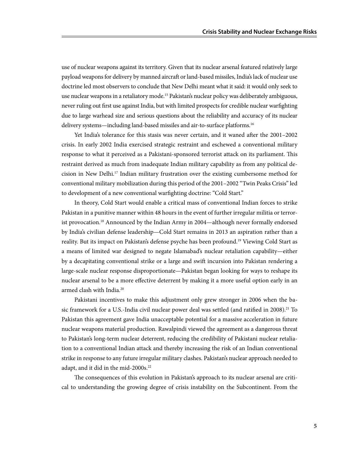use of nuclear weapons against its territory. Given that its nuclear arsenal featured relatively large payload weapons for delivery by manned aircraft or land-based missiles, India's lack of nuclear use doctrine led most observers to conclude that New Delhi meant what it said: it would only seek to use nuclear weapons in a retaliatory mode.15 Pakistan's nuclear policy was deliberately ambiguous, never ruling out first use against India, but with limited prospects for credible nuclear warfighting due to large warhead size and serious questions about the reliability and accuracy of its nuclear delivery systems—including land-based missiles and air-to-surface platforms.<sup>16</sup>

Yet India's tolerance for this stasis was never certain, and it waned after the 2001–2002 crisis. In early 2002 India exercised strategic restraint and eschewed a conventional military response to what it perceived as a Pakistani-sponsored terrorist attack on its parliament. This restraint derived as much from inadequate Indian military capability as from any political decision in New Delhi.17 Indian military frustration over the existing cumbersome method for conventional military mobilization during this period of the 2001–2002 "Twin Peaks Crisis" led to development of a new conventional warfighting doctrine: "Cold Start."

In theory, Cold Start would enable a critical mass of conventional Indian forces to strike Pakistan in a punitive manner within 48 hours in the event of further irregular militia or terrorist provocation.18 Announced by the Indian Army in 2004—although never formally endorsed by India's civilian defense leadership—Cold Start remains in 2013 an aspiration rather than a reality. But its impact on Pakistan's defense psyche has been profound.<sup>19</sup> Viewing Cold Start as a means of limited war designed to negate Islamabad's nuclear retaliation capability—either by a decapitating conventional strike or a large and swift incursion into Pakistan rendering a large-scale nuclear response disproportionate—Pakistan began looking for ways to reshape its nuclear arsenal to be a more effective deterrent by making it a more useful option early in an armed clash with India.20

Pakistani incentives to make this adjustment only grew stronger in 2006 when the basic framework for a U.S.-India civil nuclear power deal was settled (and ratified in 2008).<sup>21</sup> To Pakistan this agreement gave India unacceptable potential for a massive acceleration in future nuclear weapons material production. Rawalpindi viewed the agreement as a dangerous threat to Pakistan's long-term nuclear deterrent, reducing the credibility of Pakistani nuclear retaliation to a conventional Indian attack and thereby increasing the risk of an Indian conventional strike in response to any future irregular military clashes. Pakistan's nuclear approach needed to adapt, and it did in the mid-2000s.<sup>22</sup>

The consequences of this evolution in Pakistan's approach to its nuclear arsenal are critical to understanding the growing degree of crisis instability on the Subcontinent. From the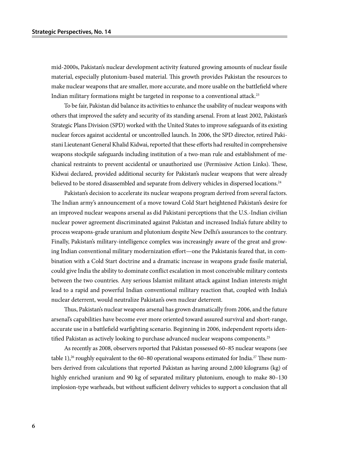mid-2000s, Pakistan's nuclear development activity featured growing amounts of nuclear fissile material, especially plutonium-based material. This growth provides Pakistan the resources to make nuclear weapons that are smaller, more accurate, and more usable on the battlefield where Indian military formations might be targeted in response to a conventional attack.<sup>23</sup>

To be fair, Pakistan did balance its activities to enhance the usability of nuclear weapons with others that improved the safety and security of its standing arsenal. From at least 2002, Pakistan's Strategic Plans Division (SPD) worked with the United States to improve safeguards of its existing nuclear forces against accidental or uncontrolled launch. In 2006, the SPD director, retired Pakistani Lieutenant General Khalid Kidwai, reported that these efforts had resulted in comprehensive weapons stockpile safeguards including institution of a two-man rule and establishment of mechanical restraints to prevent accidental or unauthorized use (Permissive Action Links). These, Kidwai declared, provided additional security for Pakistan's nuclear weapons that were already believed to be stored disassembled and separate from delivery vehicles in dispersed locations.<sup>24</sup>

Pakistan's decision to accelerate its nuclear weapons program derived from several factors. The Indian army's announcement of a move toward Cold Start heightened Pakistan's desire for an improved nuclear weapons arsenal as did Pakistani perceptions that the U.S.-Indian civilian nuclear power agreement discriminated against Pakistan and increased India's future ability to process weapons-grade uranium and plutonium despite New Delhi's assurances to the contrary. Finally, Pakistan's military-intelligence complex was increasingly aware of the great and growing Indian conventional military modernization effort—one the Pakistanis feared that, in combination with a Cold Start doctrine and a dramatic increase in weapons grade fissile material, could give India the ability to dominate conflict escalation in most conceivable military contests between the two countries. Any serious Islamist militant attack against Indian interests might lead to a rapid and powerful Indian conventional military reaction that, coupled with India's nuclear deterrent, would neutralize Pakistan's own nuclear deterrent.

Thus, Pakistan's nuclear weapons arsenal has grown dramatically from 2006, and the future arsenal's capabilities have become ever more oriented toward assured survival and short-range, accurate use in a battlefield warfighting scenario. Beginning in 2006, independent reports identified Pakistan as actively looking to purchase advanced nuclear weapons components.<sup>25</sup>

As recently as 2008, observers reported that Pakistan possessed 60–85 nuclear weapons (see table 1),<sup>26</sup> roughly equivalent to the 60–80 operational weapons estimated for India.<sup>27</sup> These numbers derived from calculations that reported Pakistan as having around 2,000 kilograms (kg) of highly enriched uranium and 90 kg of separated military plutonium, enough to make 80–130 implosion-type warheads, but without sufficient delivery vehicles to support a conclusion that all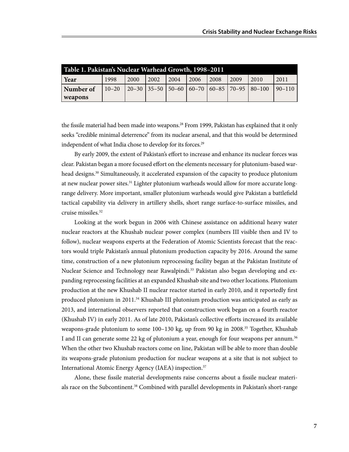| Table 1. Pakistan's Nuclear Warhead Growth, 1998-2011 |      |      |               |                   |       |      |       |                                                                                                                                 |      |
|-------------------------------------------------------|------|------|---------------|-------------------|-------|------|-------|---------------------------------------------------------------------------------------------------------------------------------|------|
| Year                                                  | 1998 | 2000 | $\sqrt{2002}$ | $\frac{12004}{ }$ | 12006 | 2008 | 12009 | 2010                                                                                                                            | 2011 |
| Number of                                             |      |      |               |                   |       |      |       | $\vert$ 10–20 $\vert$ 20–30 $\vert$ 35–50 $\vert$ 50–60 $\vert$ 60–70 $\vert$ 60–85 $\vert$ 70–95 $\vert$ 80–100 $\vert$ 90–110 |      |
| weapons                                               |      |      |               |                   |       |      |       |                                                                                                                                 |      |

the fissile material had been made into weapons.<sup>28</sup> From 1999, Pakistan has explained that it only seeks "credible minimal deterrence" from its nuclear arsenal, and that this would be determined independent of what India chose to develop for its forces.<sup>29</sup>

By early 2009, the extent of Pakistan's effort to increase and enhance its nuclear forces was clear. Pakistan began a more focused effort on the elements necessary for plutonium-based warhead designs.30 Simultaneously, it accelerated expansion of the capacity to produce plutonium at new nuclear power sites.31 Lighter plutonium warheads would allow for more accurate longrange delivery. More important, smaller plutonium warheads would give Pakistan a battlefield tactical capability via delivery in artillery shells, short range surface-to-surface missiles, and cruise missiles.32

Looking at the work begun in 2006 with Chinese assistance on additional heavy water nuclear reactors at the Khushab nuclear power complex (numbers III visible then and IV to follow), nuclear weapons experts at the Federation of Atomic Scientists forecast that the reactors would triple Pakistan's annual plutonium production capacity by 2016. Around the same time, construction of a new plutonium reprocessing facility began at the Pakistan Institute of Nuclear Science and Technology near Rawalpindi.<sup>33</sup> Pakistan also began developing and expanding reprocessing facilities at an expanded Khushab site and two other locations. Plutonium production at the new Khushab II nuclear reactor started in early 2010, and it reportedly first produced plutonium in 2011.34 Khushab III plutonium production was anticipated as early as 2013, and international observers reported that construction work began on a fourth reactor (Khushab IV) in early 2011. As of late 2010, Pakistan's collective efforts increased its available weapons-grade plutonium to some 100-130 kg, up from 90 kg in 2008.<sup>35</sup> Together, Khushab I and II can generate some 22 kg of plutonium a year, enough for four weapons per annum.<sup>36</sup> When the other two Khushab reactors come on line, Pakistan will be able to more than double its weapons-grade plutonium production for nuclear weapons at a site that is not subject to International Atomic Energy Agency (IAEA) inspection.37

Alone, these fissile material developments raise concerns about a fissile nuclear materials race on the Subcontinent.<sup>38</sup> Combined with parallel developments in Pakistan's short-range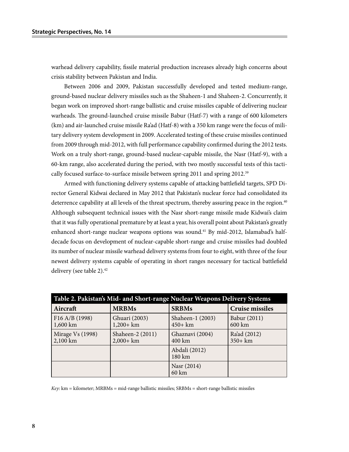warhead delivery capability, fissile material production increases already high concerns about crisis stability between Pakistan and India.

Between 2006 and 2009, Pakistan successfully developed and tested medium-range, ground-based nuclear delivery missiles such as the Shaheen-1 and Shaheen-2. Concurrently, it began work on improved short-range ballistic and cruise missiles capable of delivering nuclear warheads. The ground-launched cruise missile Babur (Hatf-7) with a range of 600 kilometers (km) and air-launched cruise missile Ra'ad (Hatf-8) with a 350 km range were the focus of military delivery system development in 2009. Accelerated testing of these cruise missiles continued from 2009 through mid-2012, with full performance capability confirmed during the 2012 tests. Work on a truly short-range, ground-based nuclear-capable missile, the Nasr (Hatf-9), with a 60-km range, also accelerated during the period, with two mostly successful tests of this tactically focused surface-to-surface missile between spring 2011 and spring 2012.39

Armed with functioning delivery systems capable of attacking battlefield targets, SPD Director General Kidwai declared in May 2012 that Pakistan's nuclear force had consolidated its deterrence capability at all levels of the threat spectrum, thereby assuring peace in the region.<sup>40</sup> Although subsequent technical issues with the Nasr short-range missile made Kidwai's claim that it was fully operational premature by at least a year, his overall point about Pakistan's greatly enhanced short-range nuclear weapons options was sound.<sup>41</sup> By mid-2012, Islamabad's halfdecade focus on development of nuclear-capable short-range and cruise missiles had doubled its number of nuclear missile warhead delivery systems from four to eight, with three of the four newest delivery systems capable of operating in short ranges necessary for tactical battlefield delivery (see table 2).<sup>42</sup>

| Table 2. Pakistan's Mid- and Short-range Nuclear Weapons Delivery Systems |                                  |                                |                            |  |  |  |  |  |
|---------------------------------------------------------------------------|----------------------------------|--------------------------------|----------------------------|--|--|--|--|--|
| Aircraft                                                                  | <b>MRBMs</b>                     | <b>SRBMs</b>                   | <b>Cruise missiles</b>     |  |  |  |  |  |
| F16 A/B (1998)<br>1,600 km                                                | Ghuari (2003)<br>$1,200+km$      | Shaheen-1 (2003)<br>$450 + km$ | Babur (2011)<br>600 km     |  |  |  |  |  |
| Mirage Vs (1998)<br>2,100 km                                              | Shaheen-2 (2011)<br>$2,000 + km$ | Ghaznavi (2004)<br>400 km      | Ra'ad (2012)<br>$350 + km$ |  |  |  |  |  |
|                                                                           |                                  | Abdali (2012)<br>180 km        |                            |  |  |  |  |  |
|                                                                           |                                  | Nasr (2014)<br>60 km           |                            |  |  |  |  |  |

*Key*: km = kilometer; MRBMs = mid-range ballistic missiles; SRBMs = short-range ballistic missiles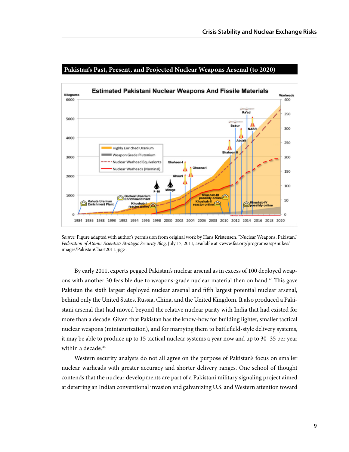

#### **Pakistan's Past, Present, and Projected Nuclear Weapons Arsenal (to 2020)**

*Source:* Figure adapted with author's permission from original work by Hans Kristensen, "Nuclear Weapons, Pakistan," *Federation of Atomic Scientists Strategic Security Blog*, July 17, 2011, available at <www.fas.org/programs/ssp/nukes/ images/PakistanChart2011.jpg>.

By early 2011, experts pegged Pakistan's nuclear arsenal as in excess of 100 deployed weapons with another 30 feasible due to weapons-grade nuclear material then on hand.43 This gave Pakistan the sixth largest deployed nuclear arsenal and fifth largest potential nuclear arsenal, behind only the United States, Russia, China, and the United Kingdom. It also produced a Pakistani arsenal that had moved beyond the relative nuclear parity with India that had existed for more than a decade. Given that Pakistan has the know-how for building lighter, smaller tactical nuclear weapons (miniaturization), and for marrying them to battlefield-style delivery systems, it may be able to produce up to 15 tactical nuclear systems a year now and up to 30–35 per year within a decade.<sup>44</sup>

Western security analysts do not all agree on the purpose of Pakistan's focus on smaller nuclear warheads with greater accuracy and shorter delivery ranges. One school of thought contends that the nuclear developments are part of a Pakistani military signaling project aimed at deterring an Indian conventional invasion and galvanizing U.S. and Western attention toward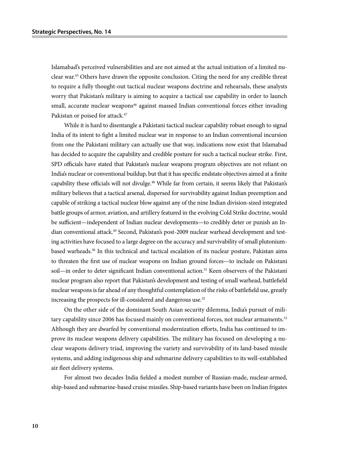Islamabad's perceived vulnerabilities and are not aimed at the actual initiation of a limited nuclear war.45 Others have drawn the opposite conclusion. Citing the need for any credible threat to require a fully thought-out tactical nuclear weapons doctrine and rehearsals, these analysts worry that Pakistan's military is aiming to acquire a tactical use capability in order to launch small, accurate nuclear weapons<sup>46</sup> against massed Indian conventional forces either invading Pakistan or poised for attack.<sup>47</sup>

While it is hard to disentangle a Pakistani tactical nuclear capability robust enough to signal India of its intent to fight a limited nuclear war in response to an Indian conventional incursion from one the Pakistani military can actually use that way, indications now exist that Islamabad has decided to acquire the capability and credible posture for such a tactical nuclear strike. First, SPD officials have stated that Pakistan's nuclear weapons program objectives are not reliant on India's nuclear or conventional buildup, but that it has specific endstate objectives aimed at a finite capability these officials will not divulge.48 While far from certain, it seems likely that Pakistan's military believes that a tactical arsenal, dispersed for survivability against Indian preemption and capable of striking a tactical nuclear blow against any of the nine Indian division-sized integrated battle groups of armor, aviation, and artillery featured in the evolving Cold Strike doctrine, would be sufficient—independent of Indian nuclear developments—to credibly deter or punish an Indian conventional attack.49 Second, Pakistan's post-2009 nuclear warhead development and testing activities have focused to a large degree on the accuracy and survivability of small plutoniumbased warheads.50 In this technical and tactical escalation of its nuclear posture, Pakistan aims to threaten the first use of nuclear weapons on Indian ground forces—to include on Pakistani soil—in order to deter significant Indian conventional action.<sup>51</sup> Keen observers of the Pakistani nuclear program also report that Pakistan's development and testing of small warhead, battlefield nuclear weapons is far ahead of any thoughtful contemplation of the risks of battlefield use, greatly increasing the prospects for ill-considered and dangerous use.<sup>52</sup>

On the other side of the dominant South Asian security dilemma, India's pursuit of military capability since 2006 has focused mainly on conventional forces, not nuclear armaments.<sup>53</sup> Although they are dwarfed by conventional modernization efforts, India has continued to improve its nuclear weapons delivery capabilities. The military has focused on developing a nuclear weapons delivery triad, improving the variety and survivability of its land-based missile systems, and adding indigenous ship and submarine delivery capabilities to its well-established air fleet delivery systems.

For almost two decades India fielded a modest number of Russian-made, nuclear-armed, ship-based and submarine-based cruise missiles. Ship-based variants have been on Indian frigates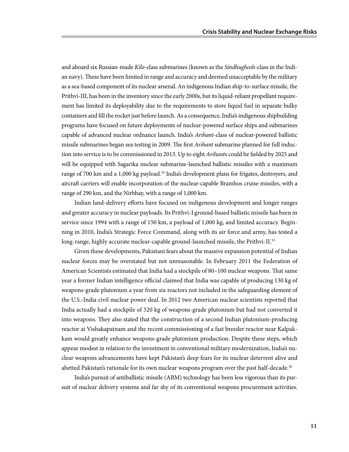and aboard six Russian-made *Kilo*-class submarines (known as the *Sindhughosh*-class in the Indian navy). These have been limited in range and accuracy and deemed unacceptable by the military as a sea-based component of its nuclear arsenal. An indigenous Indian ship-to-surface missile, the Prithvi-III, has been in the inventory since the early 2000s, but its liquid-reliant propellant requirement has limited its deployability due to the requirements to store liquid fuel in separate bulky containers and fill the rocket just before launch. As a consequence, India's indigenous shipbuilding programs have focused on future deployments of nuclear-powered surface ships and submarines capable of advanced nuclear ordnance launch. India's *Arihant*-class of nuclear-powered ballistic missile submarines began sea testing in 2009. The first *Arihant* submarine planned for full induction into service is to be commissioned in 2013. Up to eight *Arihant*s could be fielded by 2025 and will be equipped with Sagarika nuclear submarine-launched ballistic missiles with a maximum range of 700 km and a 1,000 kg payload.54 India's development plans for frigates, destroyers, and aircraft carriers will enable incorporation of the nuclear-capable Bramhos cruise missiles, with a range of 290 km, and the Nirbhay, with a range of 1,000 km.

Indian land-delivery efforts have focused on indigenous development and longer ranges and greater accuracy in nuclear payloads. Its Prithvi-I ground-based ballistic missile has been in service since 1994 with a range of 150 km, a payload of 1,000 kg, and limited accuracy. Beginning in 2010, India's Strategic Force Command, along with its air force and army, has tested a long-range, highly accurate nuclear-capable ground-launched missile, the Prithvi-II.<sup>55</sup>

Given these developments, Pakistani fears about the massive expansion potential of Indian nuclear forces may be overstated but not unreasonable. In February 2011 the Federation of American Scientists estimated that India had a stockpile of 80–100 nuclear weapons. That same year a former Indian intelligence official claimed that India was capable of producing 130 kg of weapons-grade plutonium a year from six reactors not included in the safeguarding element of the U.S.-India civil nuclear power deal. In 2012 two American nuclear scientists reported that India actually had a stockpile of 520 kg of weapons-grade plutonium but had not converted it into weapons. They also stated that the construction of a second Indian plutonium-producing reactor at Vishakapatnam and the recent commissioning of a fast breeder reactor near Kalpakkam would greatly enhance weapons-grade plutonium production. Despite these steps, which appear modest in relation to the investment in conventional military modernization, India's nuclear weapons advancements have kept Pakistan's deep fears for its nuclear deterrent alive and abetted Pakistan's rationale for its own nuclear weapons program over the past half-decade.<sup>56</sup>

India's pursuit of antiballistic missile (ABM) technology has been less vigorous than its pursuit of nuclear delivery systems and far shy of its conventional weapons procurement activities.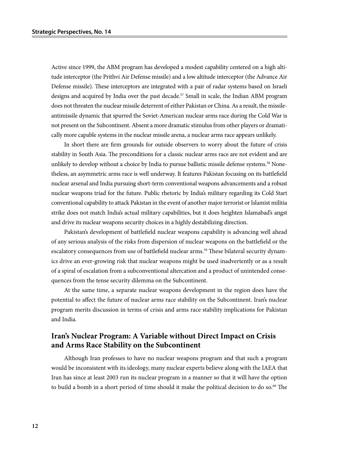Active since 1999, the ABM program has developed a modest capability centered on a high altitude interceptor (the Prithvi Air Defense missile) and a low altitude interceptor (the Advance Air Defense missile). These interceptors are integrated with a pair of radar systems based on Israeli designs and acquired by India over the past decade.<sup>57</sup> Small in scale, the Indian ABM program does not threaten the nuclear missile deterrent of either Pakistan or China. As a result, the missileantimissile dynamic that spurred the Soviet-American nuclear arms race during the Cold War is not present on the Subcontinent. Absent a more dramatic stimulus from other players or dramatically more capable systems in the nuclear missile arena, a nuclear arms race appears unlikely.

In short there are firm grounds for outside observers to worry about the future of crisis stability in South Asia. The preconditions for a classic nuclear arms race are not evident and are unlikely to develop without a choice by India to pursue ballistic missile defense systems.<sup>58</sup> Nonetheless, an asymmetric arms race is well underway. It features Pakistan focusing on its battlefield nuclear arsenal and India pursuing short-term conventional weapons advancements and a robust nuclear weapons triad for the future. Public rhetoric by India's military regarding its Cold Start conventional capability to attack Pakistan in the event of another major terrorist or Islamist militia strike does not match India's actual military capabilities, but it does heighten Islamabad's angst and drive its nuclear weapons security choices in a highly destabilizing direction.

Pakistan's development of battlefield nuclear weapons capability is advancing well ahead of any serious analysis of the risks from dispersion of nuclear weapons on the battlefield or the escalatory consequences from use of battlefield nuclear arms.<sup>59</sup> These bilateral security dynamics drive an ever-growing risk that nuclear weapons might be used inadvertently or as a result of a spiral of escalation from a subconventional altercation and a product of unintended consequences from the tense security dilemma on the Subcontinent.

At the same time, a separate nuclear weapons development in the region does have the potential to affect the future of nuclear arms race stability on the Subcontinent. Iran's nuclear program merits discussion in terms of crisis and arms race stability implications for Pakistan and India.

## **Iran's Nuclear Program: A Variable without Direct Impact on Crisis and Arms Race Stability on the Subcontinent**

Although Iran professes to have no nuclear weapons program and that such a program would be inconsistent with its ideology, many nuclear experts believe along with the IAEA that Iran has since at least 2003 run its nuclear program in a manner so that it will have the option to build a bomb in a short period of time should it make the political decision to do so.<sup>60</sup> The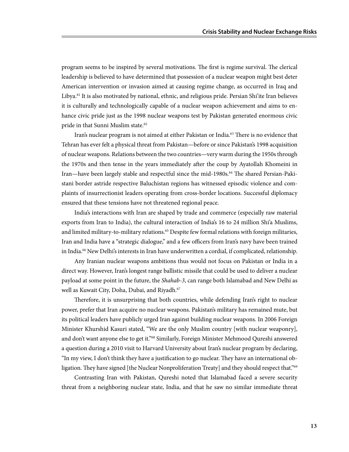program seems to be inspired by several motivations. The first is regime survival. The clerical leadership is believed to have determined that possession of a nuclear weapon might best deter American intervention or invasion aimed at causing regime change, as occurred in Iraq and Libya.<sup>61</sup> It is also motivated by national, ethnic, and religious pride. Persian Shi'ite Iran believes it is culturally and technologically capable of a nuclear weapon achievement and aims to enhance civic pride just as the 1998 nuclear weapons test by Pakistan generated enormous civic pride in that Sunni Muslim state.<sup>62</sup>

Iran's nuclear program is not aimed at either Pakistan or India.<sup>63</sup> There is no evidence that Tehran has ever felt a physical threat from Pakistan—before or since Pakistan's 1998 acquisition of nuclear weapons. Relations between the two countries—very warm during the 1950s through the 1970s and then tense in the years immediately after the coup by Ayatollah Khomeini in Iran—have been largely stable and respectful since the mid-1980s.64 The shared Persian-Pakistani border astride respective Baluchistan regions has witnessed episodic violence and complaints of insurrectionist leaders operating from cross-border locations. Successful diplomacy ensured that these tensions have not threatened regional peace.

India's interactions with Iran are shaped by trade and commerce (especially raw material exports from Iran to India), the cultural interaction of India's 16 to 24 million Shi'a Muslims, and limited military-to-military relations.<sup>65</sup> Despite few formal relations with foreign militaries, Iran and India have a "strategic dialogue," and a few officers from Iran's navy have been trained in India.<sup>66</sup> New Delhi's interests in Iran have underwritten a cordial, if complicated, relationship.

Any Iranian nuclear weapons ambitions thus would not focus on Pakistan or India in a direct way. However, Iran's longest range ballistic missile that could be used to deliver a nuclear payload at some point in the future, the *Shahab-3*, can range both Islamabad and New Delhi as well as Kuwait City, Doha, Dubai, and Riyadh.<sup>67</sup>

Therefore, it is unsurprising that both countries, while defending Iran's right to nuclear power, prefer that Iran acquire no nuclear weapons. Pakistan's military has remained mute, but its political leaders have publicly urged Iran against building nuclear weapons. In 2006 Foreign Minister Khurshid Kasuri stated, "We are the only Muslim country [with nuclear weaponry], and don't want anyone else to get it."68 Similarly, Foreign Minister Mehmood Qureshi answered a question during a 2010 visit to Harvard University about Iran's nuclear program by declaring, "In my view, I don't think they have a justification to go nuclear. They have an international obligation. They have signed [the Nuclear Nonproliferation Treaty] and they should respect that."<sup>69</sup>

Contrasting Iran with Pakistan, Qureshi noted that Islamabad faced a severe security threat from a neighboring nuclear state, India, and that he saw no similar immediate threat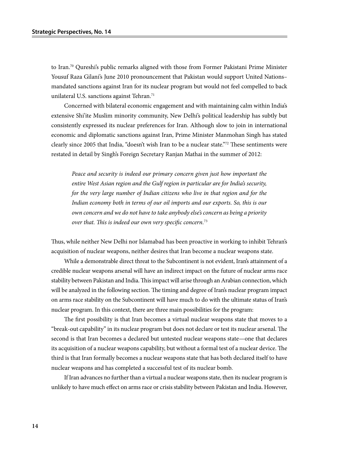to Iran.<sup>70</sup> Qureshi's public remarks aligned with those from Former Pakistani Prime Minister Yousuf Raza Gilani's June 2010 pronouncement that Pakistan would support United Nations– mandated sanctions against Iran for its nuclear program but would not feel compelled to back unilateral U.S. sanctions against Tehran.<sup>71</sup>

Concerned with bilateral economic engagement and with maintaining calm within India's extensive Shi'ite Muslim minority community, New Delhi's political leadership has subtly but consistently expressed its nuclear preferences for Iran. Although slow to join in international economic and diplomatic sanctions against Iran, Prime Minister Manmohan Singh has stated clearly since 2005 that India, "doesn't wish Iran to be a nuclear state."72 These sentiments were restated in detail by Singh's Foreign Secretary Ranjan Mathai in the summer of 2012:

*Peace and security is indeed our primary concern given just how important the entire West Asian region and the Gulf region in particular are for India's security, for the very large number of Indian citizens who live in that region and for the Indian economy both in terms of our oil imports and our exports. So, this is our own concern and we do not have to take anybody else's concern as being a priority over that. This is indeed our own very specific concern.*<sup>73</sup>

Thus, while neither New Delhi nor Islamabad has been proactive in working to inhibit Tehran's acquisition of nuclear weapons, neither desires that Iran become a nuclear weapons state.

While a demonstrable direct threat to the Subcontinent is not evident, Iran's attainment of a credible nuclear weapons arsenal will have an indirect impact on the future of nuclear arms race stability between Pakistan and India. This impact will arise through an Arabian connection, which will be analyzed in the following section. The timing and degree of Iran's nuclear program impact on arms race stability on the Subcontinent will have much to do with the ultimate status of Iran's nuclear program. In this context, there are three main possibilities for the program:

The first possibility is that Iran becomes a virtual nuclear weapons state that moves to a "break-out capability" in its nuclear program but does not declare or test its nuclear arsenal. The second is that Iran becomes a declared but untested nuclear weapons state—one that declares its acquisition of a nuclear weapons capability, but without a formal test of a nuclear device. The third is that Iran formally becomes a nuclear weapons state that has both declared itself to have nuclear weapons and has completed a successful test of its nuclear bomb.

If Iran advances no further than a virtual a nuclear weapons state, then its nuclear program is unlikely to have much effect on arms race or crisis stability between Pakistan and India. However,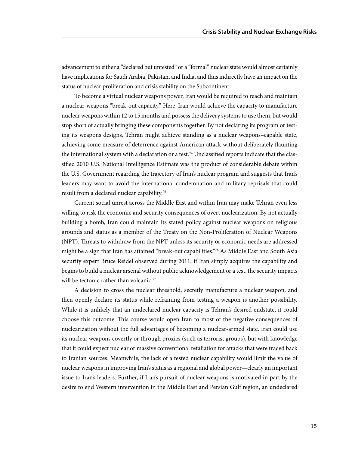advancement to either a "declared but untested" or a "formal" nuclear state would almost certainly have implications for Saudi Arabia, Pakistan, and India, and thus indirectly have an impact on the status of nuclear proliferation and crisis stability on the Subcontinent.

To become a virtual nuclear weapons power, Iran would be required to reach and maintain a nuclear-weapons "break-out capacity." Here, Iran would achieve the capacity to manufacture nuclear weapons within 12 to 15 months and possess the delivery systems to use them, but would stop short of actually bringing these components together. By not declaring its program or testing its weapons designs, Tehran might achieve standing as a nuclear weapons–capable state, achieving some measure of deterrence against American attack without deliberately flaunting the international system with a declaration or a test.<sup>74</sup> Unclassified reports indicate that the classified 2010 U.S. National Intelligence Estimate was the product of considerable debate within the U.S. Government regarding the trajectory of Iran's nuclear program and suggests that Iran's leaders may want to avoid the international condemnation and military reprisals that could result from a declared nuclear capability.75

Current social unrest across the Middle East and within Iran may make Tehran even less willing to risk the economic and security consequences of overt nuclearization. By not actually building a bomb, Iran could maintain its stated policy against nuclear weapons on religious grounds and status as a member of the Treaty on the Non-Proliferation of Nuclear Weapons (NPT). Threats to withdraw from the NPT unless its security or economic needs are addressed might be a sign that Iran has attained "break-out capabilities."76 As Middle East and South Asia security expert Bruce Reidel observed during 2011, if Iran simply acquires the capability and begins to build a nuclear arsenal without public acknowledgement or a test, the security impacts will be tectonic rather than volcanic.<sup>77</sup>

A decision to cross the nuclear threshold, secretly manufacture a nuclear weapon, and then openly declare its status while refraining from testing a weapon is another possibility. While it is unlikely that an undeclared nuclear capacity is Tehran's desired endstate, it could choose this outcome. This course would open Iran to most of the negative consequences of nuclearization without the full advantages of becoming a nuclear-armed state. Iran could use its nuclear weapons covertly or through proxies (such as terrorist groups), but with knowledge that it could expect nuclear or massive conventional retaliation for attacks that were traced back to Iranian sources. Meanwhile, the lack of a tested nuclear capability would limit the value of nuclear weapons in improving Iran's status as a regional and global power—clearly an important issue to Iran's leaders. Further, if Iran's pursuit of nuclear weapons is motivated in part by the desire to end Western intervention in the Middle East and Persian Gulf region, an undeclared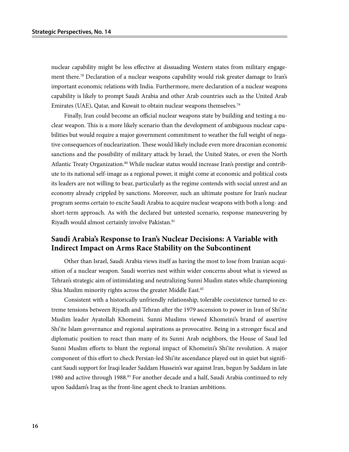nuclear capability might be less effective at dissuading Western states from military engagement there.<sup>78</sup> Declaration of a nuclear weapons capability would risk greater damage to Iran's important economic relations with India. Furthermore, mere declaration of a nuclear weapons capability is likely to prompt Saudi Arabia and other Arab countries such as the United Arab Emirates (UAE), Qatar, and Kuwait to obtain nuclear weapons themselves.<sup>79</sup>

Finally, Iran could become an official nuclear weapons state by building and testing a nuclear weapon. This is a more likely scenario than the development of ambiguous nuclear capabilities but would require a major government commitment to weather the full weight of negative consequences of nuclearization. These would likely include even more draconian economic sanctions and the possibility of military attack by Israel, the United States, or even the North Atlantic Treaty Organization.<sup>80</sup> While nuclear status would increase Iran's prestige and contribute to its national self-image as a regional power, it might come at economic and political costs its leaders are not willing to bear, particularly as the regime contends with social unrest and an economy already crippled by sanctions. Moreover, such an ultimate posture for Iran's nuclear program seems certain to excite Saudi Arabia to acquire nuclear weapons with both a long- and short-term approach. As with the declared but untested scenario, response maneuvering by Riyadh would almost certainly involve Pakistan.<sup>81</sup>

## **Saudi Arabia's Response to Iran's Nuclear Decisions: A Variable with Indirect Impact on Arms Race Stability on the Subcontinent**

Other than Israel, Saudi Arabia views itself as having the most to lose from Iranian acquisition of a nuclear weapon. Saudi worries nest within wider concerns about what is viewed as Tehran's strategic aim of intimidating and neutralizing Sunni Muslim states while championing Shia Muslim minority rights across the greater Middle East.<sup>82</sup>

Consistent with a historically unfriendly relationship, tolerable coexistence turned to extreme tensions between Riyadh and Tehran after the 1979 ascension to power in Iran of Shi'ite Muslim leader Ayatollah Khomeini. Sunni Muslims viewed Khomeini's brand of assertive Shi'ite Islam governance and regional aspirations as provocative. Being in a stronger fiscal and diplomatic position to react than many of its Sunni Arab neighbors, the House of Saud led Sunni Muslim efforts to blunt the regional impact of Khomeini's Shi'ite revolution. A major component of this effort to check Persian-led Shi'ite ascendance played out in quiet but significant Saudi support for Iraqi leader Saddam Hussein's war against Iran, begun by Saddam in late 1980 and active through 1988.83 For another decade and a half, Saudi Arabia continued to rely upon Saddam's Iraq as the front-line agent check to Iranian ambitions.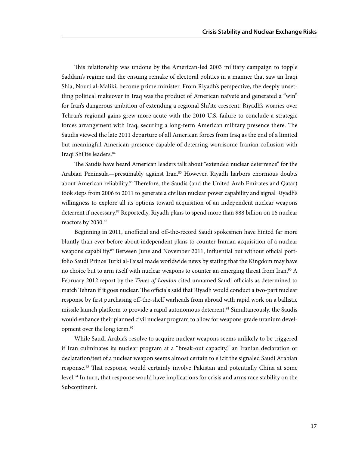This relationship was undone by the American-led 2003 military campaign to topple Saddam's regime and the ensuing remake of electoral politics in a manner that saw an Iraqi Shia, Nouri al-Maliki, become prime minister. From Riyadh's perspective, the deeply unsettling political makeover in Iraq was the product of American naïveté and generated a "win" for Iran's dangerous ambition of extending a regional Shi'ite crescent. Riyadh's worries over Tehran's regional gains grew more acute with the 2010 U.S. failure to conclude a strategic forces arrangement with Iraq, securing a long-term American military presence there. The Saudis viewed the late 2011 departure of all American forces from Iraq as the end of a limited but meaningful American presence capable of deterring worrisome Iranian collusion with Iraqi Shi'ite leaders. 84

The Saudis have heard American leaders talk about "extended nuclear deterrence" for the Arabian Peninsula—presumably against Iran.<sup>85</sup> However, Riyadh harbors enormous doubts about American reliability.<sup>86</sup> Therefore, the Saudis (and the United Arab Emirates and Qatar) took steps from 2006 to 2011 to generate a civilian nuclear power capability and signal Riyadh's willingness to explore all its options toward acquisition of an independent nuclear weapons deterrent if necessary.87 Reportedly, Riyadh plans to spend more than \$88 billion on 16 nuclear reactors by 2030.88

Beginning in 2011, unofficial and off-the-record Saudi spokesmen have hinted far more bluntly than ever before about independent plans to counter Iranian acquisition of a nuclear weapons capability.<sup>89</sup> Between June and November 2011, influential but without official portfolio Saudi Prince Turki al-Faisal made worldwide news by stating that the Kingdom may have no choice but to arm itself with nuclear weapons to counter an emerging threat from Iran.<sup>90</sup> A February 2012 report by the *Times of London* cited unnamed Saudi officials as determined to match Tehran if it goes nuclear. The officials said that Riyadh would conduct a two-part nuclear response by first purchasing off-the-shelf warheads from abroad with rapid work on a ballistic missile launch platform to provide a rapid autonomous deterrent.<sup>91</sup> Simultaneously, the Saudis would enhance their planned civil nuclear program to allow for weapons-grade uranium development over the long term.<sup>92</sup>

While Saudi Arabia's resolve to acquire nuclear weapons seems unlikely to be triggered if Iran culminates its nuclear program at a "break-out capacity," an Iranian declaration or declaration/test of a nuclear weapon seems almost certain to elicit the signaled Saudi Arabian response.<sup>93</sup> That response would certainly involve Pakistan and potentially China at some level.<sup>94</sup> In turn, that response would have implications for crisis and arms race stability on the Subcontinent.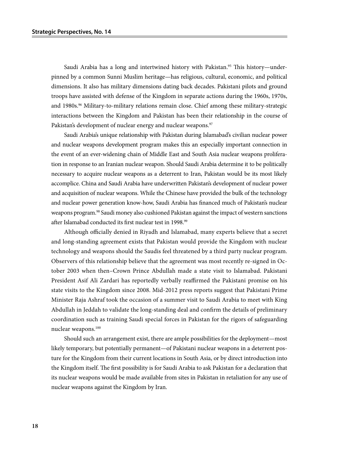Saudi Arabia has a long and intertwined history with Pakistan.<sup>95</sup> This history—underpinned by a common Sunni Muslim heritage—has religious, cultural, economic, and political dimensions. It also has military dimensions dating back decades. Pakistani pilots and ground troops have assisted with defense of the Kingdom in separate actions during the 1960s, 1970s, and 1980s.<sup>96</sup> Military-to-military relations remain close. Chief among these military-strategic interactions between the Kingdom and Pakistan has been their relationship in the course of Pakistan's development of nuclear energy and nuclear weapons.<sup>97</sup>

Saudi Arabia's unique relationship with Pakistan during Islamabad's civilian nuclear power and nuclear weapons development program makes this an especially important connection in the event of an ever-widening chain of Middle East and South Asia nuclear weapons proliferation in response to an Iranian nuclear weapon. Should Saudi Arabia determine it to be politically necessary to acquire nuclear weapons as a deterrent to Iran, Pakistan would be its most likely accomplice. China and Saudi Arabia have underwritten Pakistan's development of nuclear power and acquisition of nuclear weapons. While the Chinese have provided the bulk of the technology and nuclear power generation know-how, Saudi Arabia has financed much of Pakistan's nuclear weapons program.<sup>98</sup> Saudi money also cushioned Pakistan against the impact of western sanctions after Islamabad conducted its first nuclear test in 1998.<sup>99</sup>

Although officially denied in Riyadh and Islamabad, many experts believe that a secret and long-standing agreement exists that Pakistan would provide the Kingdom with nuclear technology and weapons should the Saudis feel threatened by a third party nuclear program. Observers of this relationship believe that the agreement was most recently re-signed in October 2003 when then–Crown Prince Abdullah made a state visit to Islamabad. Pakistani President Asif Ali Zardari has reportedly verbally reaffirmed the Pakistani promise on his state visits to the Kingdom since 2008. Mid-2012 press reports suggest that Pakistani Prime Minister Raja Ashraf took the occasion of a summer visit to Saudi Arabia to meet with King Abdullah in Jeddah to validate the long-standing deal and confirm the details of preliminary coordination such as training Saudi special forces in Pakistan for the rigors of safeguarding nuclear weapons.100

Should such an arrangement exist, there are ample possibilities for the deployment—most likely temporary, but potentially permanent—of Pakistani nuclear weapons in a deterrent posture for the Kingdom from their current locations in South Asia, or by direct introduction into the Kingdom itself. The first possibility is for Saudi Arabia to ask Pakistan for a declaration that its nuclear weapons would be made available from sites in Pakistan in retaliation for any use of nuclear weapons against the Kingdom by Iran.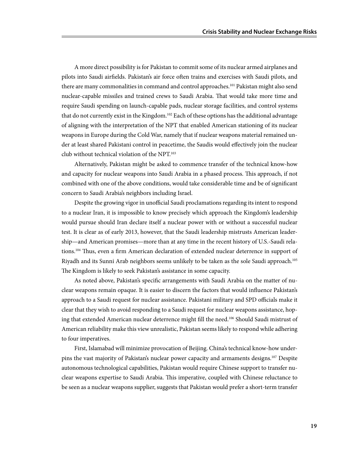A more direct possibility is for Pakistan to commit some of its nuclear armed airplanes and pilots into Saudi airfields. Pakistan's air force often trains and exercises with Saudi pilots, and there are many commonalities in command and control approaches.<sup>101</sup> Pakistan might also send nuclear-capable missiles and trained crews to Saudi Arabia. That would take more time and require Saudi spending on launch-capable pads, nuclear storage facilities, and control systems that do not currently exist in the Kingdom.<sup>102</sup> Each of these options has the additional advantage of aligning with the interpretation of the NPT that enabled American stationing of its nuclear weapons in Europe during the Cold War, namely that if nuclear weapons material remained under at least shared Pakistani control in peacetime, the Saudis would effectively join the nuclear club without technical violation of the NPT.103

Alternatively, Pakistan might be asked to commence transfer of the technical know-how and capacity for nuclear weapons into Saudi Arabia in a phased process. This approach, if not combined with one of the above conditions, would take considerable time and be of significant concern to Saudi Arabia's neighbors including Israel.

Despite the growing vigor in unofficial Saudi proclamations regarding its intent to respond to a nuclear Iran, it is impossible to know precisely which approach the Kingdom's leadership would pursue should Iran declare itself a nuclear power with or without a successful nuclear test. It is clear as of early 2013, however, that the Saudi leadership mistrusts American leadership—and American promises—more than at any time in the recent history of U.S.-Saudi relations.<sup>104</sup> Thus, even a firm American declaration of extended nuclear deterrence in support of Riyadh and its Sunni Arab neighbors seems unlikely to be taken as the sole Saudi approach.105 The Kingdom is likely to seek Pakistan's assistance in some capacity.

As noted above, Pakistan's specific arrangements with Saudi Arabia on the matter of nuclear weapons remain opaque. It is easier to discern the factors that would influence Pakistan's approach to a Saudi request for nuclear assistance. Pakistani military and SPD officials make it clear that they wish to avoid responding to a Saudi request for nuclear weapons assistance, hoping that extended American nuclear deterrence might fill the need.106 Should Saudi mistrust of American reliability make this view unrealistic, Pakistan seems likely to respond while adhering to four imperatives.

First, Islamabad will minimize provocation of Beijing. China's technical know-how underpins the vast majority of Pakistan's nuclear power capacity and armaments designs.<sup>107</sup> Despite autonomous technological capabilities, Pakistan would require Chinese support to transfer nuclear weapons expertise to Saudi Arabia. This imperative, coupled with Chinese reluctance to be seen as a nuclear weapons supplier, suggests that Pakistan would prefer a short-term transfer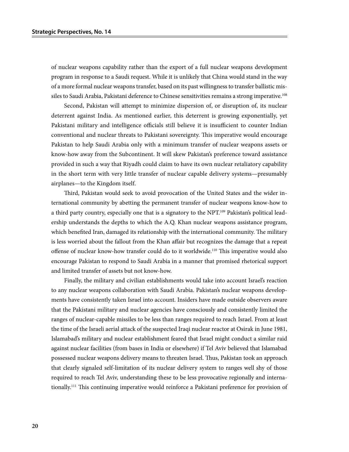of nuclear weapons capability rather than the export of a full nuclear weapons development program in response to a Saudi request. While it is unlikely that China would stand in the way of a more formal nuclear weapons transfer, based on its past willingness to transfer ballistic missiles to Saudi Arabia, Pakistani deference to Chinese sensitivities remains a strong imperative.<sup>108</sup>

Second, Pakistan will attempt to minimize dispersion of, or disruption of, its nuclear deterrent against India. As mentioned earlier, this deterrent is growing exponentially, yet Pakistani military and intelligence officials still believe it is insufficient to counter Indian conventional and nuclear threats to Pakistani sovereignty. This imperative would encourage Pakistan to help Saudi Arabia only with a minimum transfer of nuclear weapons assets or know-how away from the Subcontinent. It will skew Pakistan's preference toward assistance provided in such a way that Riyadh could claim to have its own nuclear retaliatory capability in the short term with very little transfer of nuclear capable delivery systems—presumably airplanes—to the Kingdom itself.

Third, Pakistan would seek to avoid provocation of the United States and the wider international community by abetting the permanent transfer of nuclear weapons know-how to a third party country, especially one that is a signatory to the NPT.<sup>109</sup> Pakistan's political leadership understands the depths to which the A.Q. Khan nuclear weapons assistance program, which benefited Iran, damaged its relationship with the international community. The military is less worried about the fallout from the Khan affair but recognizes the damage that a repeat offense of nuclear know-how transfer could do to it worldwide.<sup>110</sup> This imperative would also encourage Pakistan to respond to Saudi Arabia in a manner that promised rhetorical support and limited transfer of assets but not know-how.

Finally, the military and civilian establishments would take into account Israel's reaction to any nuclear weapons collaboration with Saudi Arabia. Pakistan's nuclear weapons developments have consistently taken Israel into account. Insiders have made outside observers aware that the Pakistani military and nuclear agencies have consciously and consistently limited the ranges of nuclear-capable missiles to be less than ranges required to reach Israel. From at least the time of the Israeli aerial attack of the suspected Iraqi nuclear reactor at Osirak in June 1981, Islamabad's military and nuclear establishment feared that Israel might conduct a similar raid against nuclear facilities (from bases in India or elsewhere) if Tel Aviv believed that Islamabad possessed nuclear weapons delivery means to threaten Israel. Thus, Pakistan took an approach that clearly signaled self-limitation of its nuclear delivery system to ranges well shy of those required to reach Tel Aviv, understanding these to be less provocative regionally and internationally.111 This continuing imperative would reinforce a Pakistani preference for provision of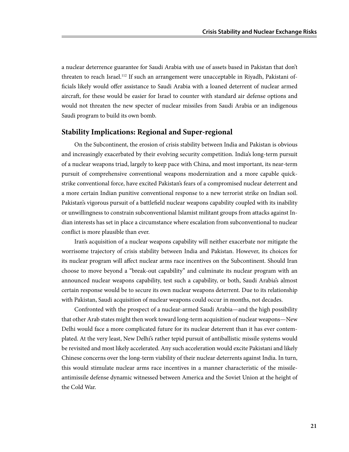a nuclear deterrence guarantee for Saudi Arabia with use of assets based in Pakistan that don't threaten to reach Israel.112 If such an arrangement were unacceptable in Riyadh, Pakistani officials likely would offer assistance to Saudi Arabia with a loaned deterrent of nuclear armed aircraft, for these would be easier for Israel to counter with standard air defense options and would not threaten the new specter of nuclear missiles from Saudi Arabia or an indigenous Saudi program to build its own bomb.

### **Stability Implications: Regional and Super-regional**

On the Subcontinent, the erosion of crisis stability between India and Pakistan is obvious and increasingly exacerbated by their evolving security competition. India's long-term pursuit of a nuclear weapons triad, largely to keep pace with China, and most important, its near-term pursuit of comprehensive conventional weapons modernization and a more capable quickstrike conventional force, have excited Pakistan's fears of a compromised nuclear deterrent and a more certain Indian punitive conventional response to a new terrorist strike on Indian soil. Pakistan's vigorous pursuit of a battlefield nuclear weapons capability coupled with its inability or unwillingness to constrain subconventional Islamist militant groups from attacks against Indian interests has set in place a circumstance where escalation from subconventional to nuclear conflict is more plausible than ever.

Iran's acquisition of a nuclear weapons capability will neither exacerbate nor mitigate the worrisome trajectory of crisis stability between India and Pakistan. However, its choices for its nuclear program will affect nuclear arms race incentives on the Subcontinent. Should Iran choose to move beyond a "break-out capability" and culminate its nuclear program with an announced nuclear weapons capability, test such a capability, or both, Saudi Arabia's almost certain response would be to secure its own nuclear weapons deterrent. Due to its relationship with Pakistan, Saudi acquisition of nuclear weapons could occur in months, not decades.

Confronted with the prospect of a nuclear-armed Saudi Arabia—and the high possibility that other Arab states might then work toward long-term acquisition of nuclear weapons—New Delhi would face a more complicated future for its nuclear deterrent than it has ever contemplated. At the very least, New Delhi's rather tepid pursuit of antiballistic missile systems would be revisited and most likely accelerated. Any such acceleration would excite Pakistani and likely Chinese concerns over the long-term viability of their nuclear deterrents against India. In turn, this would stimulate nuclear arms race incentives in a manner characteristic of the missileantimissile defense dynamic witnessed between America and the Soviet Union at the height of the Cold War.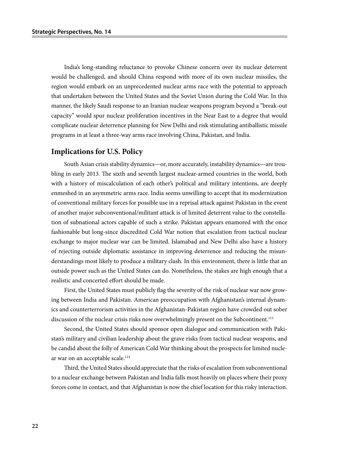India's long-standing reluctance to provoke Chinese concern over its nuclear deterrent would be challenged, and should China respond with more of its own nuclear missiles, the region would embark on an unprecedented nuclear arms race with the potential to approach that undertaken between the United States and the Soviet Union during the Cold War. In this manner, the likely Saudi response to an Iranian nuclear weapons program beyond a "break-out capacity" would spur nuclear proliferation incentives in the Near East to a degree that would complicate nuclear deterrence planning for New Delhi and risk stimulating antiballistic missile programs in at least a three-way arms race involving China, Pakistan, and India.

#### **Implications for U.S. Policy**

South Asian crisis stability dynamics—or, more accurately, instability dynamics—are troubling in early 2013. The sixth and seventh largest nuclear-armed countries in the world, both with a history of miscalculation of each other's political and military intentions, are deeply enmeshed in an asymmetric arms race. India seems unwilling to accept that its modernization of conventional military forces for possible use in a reprisal attack against Pakistan in the event of another major subconventional/militant attack is of limited deterrent value to the constellation of subnational actors capable of such a strike. Pakistan appears enamored with the once fashionable but long-since discredited Cold War notion that escalation from tactical nuclear exchange to major nuclear war can be limited. Islamabad and New Delhi also have a history of rejecting outside diplomatic assistance in improving deterrence and reducing the misunderstandings most likely to produce a military clash. In this environment, there is little that an outside power such as the United States can do. Nonetheless, the stakes are high enough that a realistic and concerted effort should be made.

First, the United States must publicly flag the severity of the risk of nuclear war now growing between India and Pakistan. American preoccupation with Afghanistan's internal dynamics and counterterrorism activities in the Afghanistan-Pakistan region have crowded out sober discussion of the nuclear crisis risks now overwhelmingly present on the Subcontinent.<sup>113</sup>

Second, the United States should sponsor open dialogue and communication with Pakistan's military and civilian leadership about the grave risks from tactical nuclear weapons, and be candid about the folly of American Cold War thinking about the prospects for limited nuclear war on an acceptable scale.<sup>114</sup>

Third, the United States should appreciate that the risks of escalation from subconventional to a nuclear exchange between Pakistan and India falls most heavily on places where their proxy forces come in contact, and that Afghanistan is now the chief location for this risky interaction.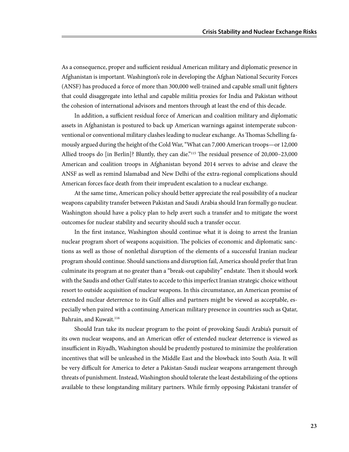As a consequence, proper and sufficient residual American military and diplomatic presence in Afghanistan is important. Washington's role in developing the Afghan National Security Forces (ANSF) has produced a force of more than 300,000 well-trained and capable small unit fighters that could disaggregate into lethal and capable militia proxies for India and Pakistan without the cohesion of international advisors and mentors through at least the end of this decade.

In addition, a sufficient residual force of American and coalition military and diplomatic assets in Afghanistan is postured to back up American warnings against intemperate subconventional or conventional military clashes leading to nuclear exchange. As Thomas Schelling famously argued during the height of the Cold War, "What can 7,000 American troops—or 12,000 Allied troops do [in Berlin]? Bluntly, they can die."115 The residual presence of 20,000–23,000 American and coalition troops in Afghanistan beyond 2014 serves to advise and cleave the ANSF as well as remind Islamabad and New Delhi of the extra-regional complications should American forces face death from their imprudent escalation to a nuclear exchange.

At the same time, American policy should better appreciate the real possibility of a nuclear weapons capability transfer between Pakistan and Saudi Arabia should Iran formally go nuclear. Washington should have a policy plan to help avert such a transfer and to mitigate the worst outcomes for nuclear stability and security should such a transfer occur.

In the first instance, Washington should continue what it is doing to arrest the Iranian nuclear program short of weapons acquisition. The policies of economic and diplomatic sanctions as well as those of nonlethal disruption of the elements of a successful Iranian nuclear program should continue. Should sanctions and disruption fail, America should prefer that Iran culminate its program at no greater than a "break-out capability" endstate. Then it should work with the Saudis and other Gulf states to accede to this imperfect Iranian strategic choice without resort to outside acquisition of nuclear weapons. In this circumstance, an American promise of extended nuclear deterrence to its Gulf allies and partners might be viewed as acceptable, especially when paired with a continuing American military presence in countries such as Qatar, Bahrain, and Kuwait.<sup>116</sup>

Should Iran take its nuclear program to the point of provoking Saudi Arabia's pursuit of its own nuclear weapons, and an American offer of extended nuclear deterrence is viewed as insufficient in Riyadh, Washington should be prudently postured to minimize the proliferation incentives that will be unleashed in the Middle East and the blowback into South Asia. It will be very difficult for America to deter a Pakistan-Saudi nuclear weapons arrangement through threats of punishment. Instead, Washington should tolerate the least destabilizing of the options available to these longstanding military partners. While firmly opposing Pakistani transfer of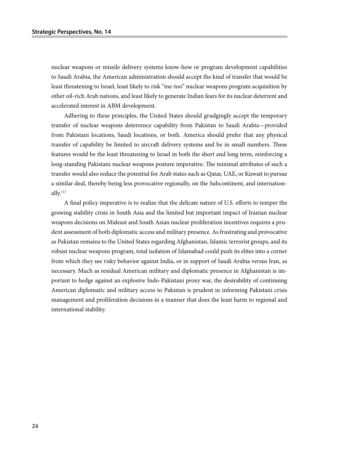nuclear weapons or missile delivery systems know-how or program development capabilities to Saudi Arabia, the American administration should accept the kind of transfer that would be least threatening to Israel, least likely to risk "me-too" nuclear weapons program acquisition by other oil-rich Arab nations, and least likely to generate Indian fears for its nuclear deterrent and accelerated interest in ABM development.

Adhering to these principles, the United States should grudgingly accept the temporary transfer of nuclear weapons deterrence capability from Pakistan to Saudi Arabia—provided from Pakistani locations, Saudi locations, or both. America should prefer that any physical transfer of capability be limited to aircraft delivery systems and be in small numbers. These features would be the least threatening to Israel in both the short and long term, reinforcing a long-standing Pakistani nuclear weapons posture imperative. The minimal attributes of such a transfer would also reduce the potential for Arab states such as Qatar, UAE, or Kuwait to pursue a similar deal, thereby being less provocative regionally, on the Subcontinent, and internationally.117

A final policy imperative is to realize that the delicate nature of U.S. efforts to temper the growing stability crisis in South Asia and the limited but important impact of Iranian nuclear weapons decisions on Mideast and South Asian nuclear proliferation incentives requires a prudent assessment of both diplomatic access and military presence. As frustrating and provocative as Pakistan remains to the United States regarding Afghanistan, Islamic terrorist groups, and its robust nuclear weapons program, total isolation of Islamabad could push its elites into a corner from which they see risky behavior against India, or in support of Saudi Arabia versus Iran, as necessary. Much as residual American military and diplomatic presence in Afghanistan is important to hedge against an explosive Indo-Pakistani proxy war, the desirability of continuing American diplomatic and military access to Pakistan is prudent in informing Pakistani crisis management and proliferation decisions in a manner that does the least harm to regional and international stability.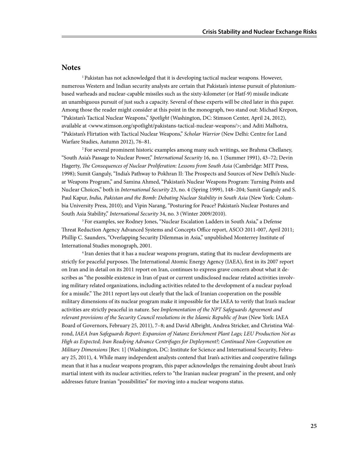### **Notes**

<sup>1</sup> Pakistan has not acknowledged that it is developing tactical nuclear weapons. However, numerous Western and Indian security analysts are certain that Pakistan's intense pursuit of plutoniumbased warheads and nuclear-capable missiles such as the sixty-kilometer (or Hatf-9) missile indicate an unambiguous pursuit of just such a capacity. Several of these experts will be cited later in this paper. Among those the reader might consider at this point in the monograph, two stand out: Michael Krepon, "Pakistan's Tactical Nuclear Weapons," *Spotlight* (Washington, DC: Stimson Center, April 24, 2012), available at <www.stimson.org/spotlight/pakistans-tactical-nuclear-weapons/>; and Aditi Malhotra, "Pakistan's Flirtation with Tactical Nuclear Weapons," *Scholar Warrior* (New Delhi: Centre for Land Warfare Studies, Autumn 2012), 76–81.

2 For several prominent historic examples among many such writings, see Brahma Chellaney, "South Asia's Passage to Nuclear Power," *International Security* 16, no. 1 (Summer 1991), 43–72; Devin Hagerty, *The Consequences of Nuclear Proliferation: Lessons from South Asia* (Cambridge: MIT Press, 1998); Sumit Ganguly, "India's Pathway to Pokhran II: The Prospects and Sources of New Delhi's Nuclear Weapons Program," and Samina Ahmed, "Pakistan's Nuclear Weapons Program: Turning Points and Nuclear Choices," both in *International Security* 23, no. 4 (Spring 1999), 148–204; Sumit Ganguly and S. Paul Kapur, *India, Pakistan and the Bomb: Debating Nuclear Stability in South Asia* (New York: Columbia University Press, 2010); and Vipin Narang, "Posturing for Peace? Pakistan's Nuclear Postures and South Asia Stability," *International Security* 34, no. 3 (Winter 2009/2010).

3 For examples, see Rodney Jones, "Nuclear Escalation Ladders in South Asia," a Defense Threat Reduction Agency Advanced Systems and Concepts Office report, ASCO 2011-007, April 2011; Phillip C. Saunders, "Overlapping Security Dilemmas in Asia," unpublished Monterrey Institute of International Studies monograph, 2001.

4 Iran denies that it has a nuclear weapons program, stating that its nuclear developments are strictly for peaceful purposes. The International Atomic Energy Agency (IAEA), first in its 2007 report on Iran and in detail on its 2011 report on Iran, continues to express grave concern about what it describes as "the possible existence in Iran of past or current undisclosed nuclear related activities involving military related organizations, including activities related to the development of a nuclear payload for a missile." The 2011 report lays out clearly that the lack of Iranian cooperation on the possible military dimensions of its nuclear program make it impossible for the IAEA to verify that Iran's nuclear activities are strictly peaceful in nature. See *Implementation of the NPT Safeguards Agreement and relevant provisions of the Security Council resolutions in the Islamic Republic of Iran* (New York: IAEA Board of Governors, February 25, 2011), 7–8; and David Albright, Andrea Stricker, and Christina Walrond, *IAEA Iran Safeguards Report: Expansion of Natanz Enrichment Plant Lags; LEU Production Not as High as Expected; Iran Readying Advance Centrifuges for Deployment?; Continued Non-Cooperation on Military Dimensions* [Rev. 1] (Washington, DC: Institute for Science and International Security, February 25, 2011), 4. While many independent analysts contend that Iran's activities and cooperative failings mean that it has a nuclear weapons program, this paper acknowledges the remaining doubt about Iran's martial intent with its nuclear activities, refers to "the Iranian nuclear program" in the present, and only addresses future Iranian "possibilities" for moving into a nuclear weapons status.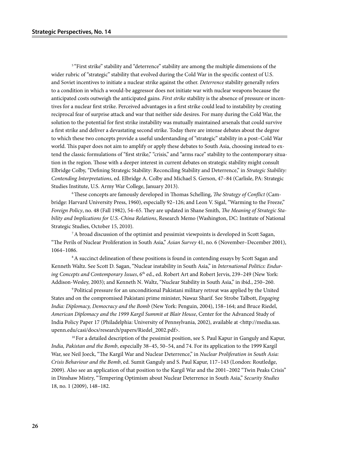<sup>5</sup> "First strike" stability and "deterrence" stability are among the multiple dimensions of the wider rubric of "strategic" stability that evolved during the Cold War in the specific context of U.S. and Soviet incentives to initiate a nuclear strike against the other. *Deterrence* stability generally refers to a condition in which a would-be aggressor does not initiate war with nuclear weapons because the anticipated costs outweigh the anticipated gains. *First strike* stability is the absence of pressure or incentives for a nuclear first strike. Perceived advantages in a first strike could lead to instability by creating reciprocal fear of surprise attack and war that neither side desires. For many during the Cold War, the solution to the potential for first strike instability was mutually maintained arsenals that could survive a first strike and deliver a devastating second strike. Today there are intense debates about the degree to which these two concepts provide a useful understanding of "strategic" stability in a post–Cold War world. This paper does not aim to amplify or apply these debates to South Asia, choosing instead to extend the classic formulations of "first strike," "crisis," and "arms race" stability to the contemporary situation in the region. Those with a deeper interest in current debates on strategic stability might consult Elbridge Colby, "Defining Strategic Stability: Reconciling Stability and Deterrence," in *Strategic Stability: Contending Interpretations*, ed. Elbridge A. Colby and Michael S. Gerson, 47–84 (Carlisle, PA: Strategic Studies Institute, U.S. Army War College, January 2013).

6 These concepts are famously developed in Thomas Schelling, *The Strategy of Conflict* (Cambridge: Harvard University Press, 1960), especially 92–126; and Leon V. Sigal, "Warming to the Freeze," *Foreign Policy*, no. 48 (Fall 1982), 54–65. They are updated in Shane Smith, *The Meaning of Strategic Stability and Implications for U.S.-China Relations*, Research Memo (Washington, DC: Institute of National Strategic Studies, October 15, 2010).

7 A broad discussion of the optimist and pessimist viewpoints is developed in Scott Sagan, "The Perils of Nuclear Proliferation in South Asia," *Asian Survey* 41, no. 6 (November–December 2001), 1064–1086.

<sup>8</sup> A succinct delineation of these positions is found in contending essays by Scott Sagan and Kenneth Waltz. See Scott D. Sagan, "Nuclear instability in South Asia," in *International Politics: Enduring Concepts and Contemporary Issues*, 6th ed., ed. Robert Art and Robert Jervis, 239–249 (New York: Addison-Wesley, 2003); and Kenneth N. Waltz, "Nuclear Stability in South Asia," in ibid., 250–260.

9 Political pressure for an unconditional Pakistani military retreat was applied by the United States and on the compromised Pakistani prime minister, Nawaz Sharif. See Strobe Talbott, *Engaging India: Diplomacy, Democracy and the Bomb* (New York: Penguin, 2004), 158–164; and Bruce Riedel, *American Diplomacy and the 1999 Kargil Summit at Blair House*, Center for the Advanced Study of India Policy Paper 17 (Philadelphia: University of Pennsylvania, 2002), available at <http://media.sas. upenn.edu/casi/docs/research/papers/Riedel\_2002.pdf>.

 $10$  For a detailed description of the pessimist position, see S. Paul Kapur in Ganguly and Kapur, *India, Pakistan and the Bomb*, especially 38–45, 50–54, and 74. For its application to the 1999 Kargil War, see Neil Joeck, "The Kargil War and Nuclear Deterrence," in *Nuclear Proliferation in South Asia: Crisis Behaviour and the Bomb*, ed. Sumit Ganguly and S. Paul Kapur, 117–143 (London: Routledge, 2009). Also see an application of that position to the Kargil War and the 2001–2002 "Twin Peaks Crisis" in Dinshaw Mistry, "Tempering Optimism about Nuclear Deterrence in South Asia," *Security Studies* 18, no. 1 (2009), 148–182.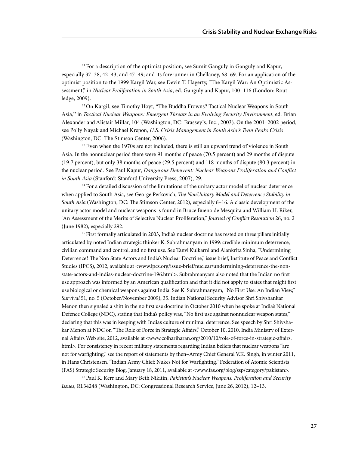$11$  For a description of the optimist position, see Sumit Ganguly in Ganguly and Kapur, especially 37–38, 42–43, and 47–49; and its forerunner in Chellaney, 68–69. For an application of the optimist position to the 1999 Kargil War, see Devin T. Hagerty, "The Kargil War: An Optimistic Assessment," in *Nuclear Proliferation in South Asia*, ed. Ganguly and Kapur, 100–116 (London: Routledge, 2009).

 $12$  On Kargil, see Timothy Hoyt, "The Buddha Frowns? Tactical Nuclear Weapons in South Asia," in *Tactical Nuclear Weapons: Emergent Threats in an Evolving Security Environment*, ed. Brian Alexander and Alistair Millar, 104 (Washington, DC: Brassey's, Inc., 2003). On the 2001–2002 period, see Polly Nayak and Michael Krepon, *U.S. Crisis Management in South Asia's Twin Peaks Crisis*  (Washington, DC: The Stimson Center, 2006).

<sup>13</sup> Even when the 1970s are not included, there is still an upward trend of violence in South Asia. In the nonnuclear period there were 91 months of peace (70.5 percent) and 29 months of dispute (19.7 percent), but only 38 months of peace (29.5 percent) and 118 months of dispute (80.3 percent) in the nuclear period. See Paul Kapur, *Dangerous Deterrent: Nuclear Weapons Proliferation and Conflict in South Asia* (Stanford: Stanford University Press, 2007), 29.

<sup>14</sup> For a detailed discussion of the limitations of the unitary actor model of nuclear deterrence when applied to South Asia, see George Perkovich, *The NonUnitary Model and Deterrence Stability in South Asia* (Washington, DC: The Stimson Center, 2012), especially 6–16. A classic development of the unitary actor model and nuclear weapons is found in Bruce Bueno de Mesquita and William H. Riker, "An Assessment of the Merits of Selective Nuclear Proliferation," *Journal of Conflict Resolution* 26, no. 2 (June 1982), especially 292.

<sup>15</sup> First formally articulated in 2003, India's nuclear doctrine has rested on three pillars initially articulated by noted Indian strategic thinker K. Subrahmanyam in 1999: credible minimum deterrence, civilian command and control, and no first use. See Tanvi Kulkarni and Alankrita Sinha, "Undermining Deterrence? The Non State Actors and India's Nuclear Doctrine," issue brief, Institute of Peace and Conflict Studies (IPCS), 2012, available at <www.ipcs.org/issue-brief/nuclear/undermining-deterrence-the-nonstate-actors-and-indias-nuclear-doctrine-196.html>. Subrahmanyam also noted that the Indian no first use approach was informed by an American qualification and that it did not apply to states that might first use biological or chemical weapons against India. See K. Subrahmanyam, "No First Use: An Indian View," *Survival* 51, no. 5 (October/November 2009), 35. Indian National Security Advisor Shri Shivshankar Menon then signaled a shift in the no first use doctrine in October 2010 when he spoke at India's National Defence College (NDC), stating that India's policy was, "No first use against nonnuclear weapon states," declaring that this was in keeping with India's culture of minimal deterrence. See speech by Shri Shivshakar Menon at NDC on "The Role of Force in Strategic Affairs," October 10, 2010, India Ministry of External Affairs Web site, 2012, available at <www.colhariharan.org/2010/10/role-of-force-in-strategic-affairs. html>. For consistency in recent military statements regarding Indian beliefs that nuclear weapons "are not for warfighting," see the report of statements by then–Army Chief General V.K. Singh, in winter 2011, in Hans Christensen, "Indian Army Chief: Nukes Not for Warfighting," Federation of Atomic Scientists (FAS) Strategic Security Blog, January 18, 2011, available at <www.fas.org/blog/ssp/category/pakistan>.

16 Paul K. Kerr and Mary Beth Nikitin, *Pakistan's Nuclear Weapons: Proliferation and Security Issues*, RL34248 (Washington, DC: Congressional Research Service, June 26, 2012), 12–13.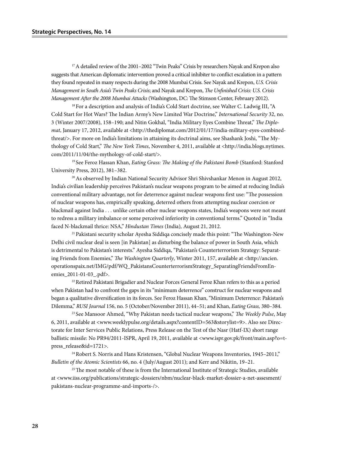17 A detailed review of the 2001–2002 "Twin Peaks" Crisis by researchers Nayak and Krepon also suggests that American diplomatic intervention proved a critical inhibiter to conflict escalation in a pattern they found repeated in many respects during the 2008 Mumbai Crisis. See Nayak and Krepon, *U.S. Crisis Management in South Asia's Twin Peaks Crisis*; and Nayak and Krepon, *The Unfinished Crisis: U.S. Crisis Management After the 2008 Mumbai Attacks* (Washington, DC: The Stimson Center, February 2012).

<sup>18</sup> For a description and analysis of India's Cold Start doctrine, see Walter C. Ladwig III, "A Cold Start for Hot Wars? The Indian Army's New Limited War Doctrine," *International Security* 32, no. 3 (Winter 2007/2008), 158–190; and Nitin Gokhal, "India Military Eyes Combine Threat," *The Diplomat*, January 17, 2012, available at <http://thediplomat.com/2012/01/17/india-military-eyes-combinedthreat/>. For more on India's limitations in attaining its doctrinal aims, see Shashank Joshi, "The Mythology of Cold Start," *The New York Times*, November 4, 2011, available at <http://india.blogs.nytimes. com/2011/11/04/the-mythology-of-cold-start/>.

19 See Feroz Hassan Khan, *Eating Grass: The Making of the Pakistani Bomb* (Stanford: Stanford University Press, 2012), 381–382.

<sup>20</sup> As observed by Indian National Security Advisor Shri Shivshankar Menon in August 2012, India's civilian leadership perceives Pakistan's nuclear weapons program to be aimed at reducing India's conventional military advantage, not for deterrence against nuclear weapons first use: "The possession of nuclear weapons has, empirically speaking, deterred others from attempting nuclear coercion or blackmail against India . . . unlike certain other nuclear weapons states, India's weapons were not meant to redress a military imbalance or some perceived inferiority in conventional terms." Quoted in "India faced N-blackmail thrice: NSA," *Hindustan Times* (India)*,* August 21, 2012.

21 Pakistani security scholar Ayesha Siddiqa concisely made this point: "The Washington-New Delhi civil nuclear deal is seen [in Pakistan] as disturbing the balance of power in South Asia, which is detrimental to Pakistan's interests." Ayesha Siddiqa, "Pakistan's Counterterrorism Strategy: Separating Friends from Enemies," *The Washington Quarterly*, Winter 2011, 157, available at <http://ancien. operationspaix.net/IMG/pdf/WQ\_PakistansCounterterrorismStrategy\_SeparatingFriendsFromEnemies 2011-01-03 .pdf>.

<sup>22</sup> Retired Pakistani Brigadier and Nuclear Forces General Feroz Khan refers to this as a period when Pakistan had to confront the gaps in its "minimum deterrence" construct for nuclear weapons and began a qualitative diversification in its forces. See Feroz Hassan Khan, "Minimum Deterrence: Pakistan's Dilemma," *RUSI Journal* 156, no. 5 (October/November 2011), 44–51; and Khan, *Eating Grass,* 380–384.

23 See Mansoor Ahmed, "Why Pakistan needs tactical nuclear weapons," *The Weekly Pulse*, May 6, 2011, available at <www.weeklypulse.org/details.aspx?contentID=563&storylist=9>. Also see Directorate for Inter Services Public Relations, Press Release on the Test of the Nasr (Hatf-IX) short range ballistic missile: No PR94/2011-ISPR, April 19, 2011, available at <www.ispr.gov.pk/front/main.asp?o=tpress\_release&id=1721>.

24 Robert S. Norris and Hans Kristensen, "Global Nuclear Weapons Inventories, 1945–2011," *Bulletin of the Atomic Scientists* 66, no. 4 (July/August 2011); and Kerr and Nikitin, 19–21.

<sup>25</sup> The most notable of these is from the International Institute of Strategic Studies, available at <www.iiss.org/publications/strategic-dossiers/nbm/nuclear-black-market-dossier-a-net-assesment/ pakistans-nuclear-programme-and-imports-/>.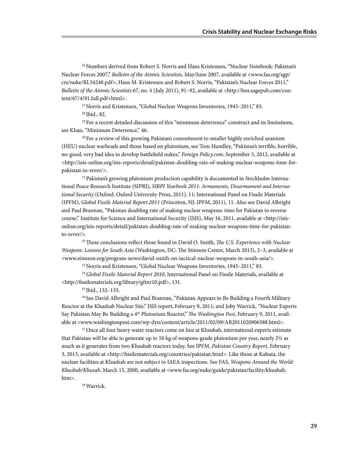26 Numbers derived from Robert S. Norris and Hans Kristensen, "Nuclear Notebook: Pakistan's Nuclear Forces 2007," *Bulletin of the Atomic Scientists*, May/June 2007, available at <www.fas.org/sgp/ crs/nuke/RL34248.pdf>; Hans M. Kristensen and Robert S. Norris, "Pakistan's Nuclear Forces 2011," *Bulletin of the Atomic Scientists* 67, no. 4 (July 2011), 91–92, available at <http://bos.sagepub.com/content/67/4/91.full.pdf+html>.

27 Norris and Kristensen, "Global Nuclear Weapons Inventories, 1945–2011," 83.

28 Ibid., 82.

 $29$  For a recent detailed discussion of this "minimum deterrence" construct and its limitations, see Khan, "Minimum Deterrence," 46.

<sup>30</sup> For a review of this growing Pakistani commitment to smaller highly enriched uranium (HEU) nuclear warheads and those based on plutonium, see Tom Hundley, "Pakistan's terrible, horrible, no-good, very bad idea to develop battlefield nukes," *Foreign Policy.com*, September 5, 2012, available at <http://isis-online.org/isis-reports/detail/pakistan-doubling-rate-of-making-nuclear-weapons-time-forpakistan-to-rever/>.

<sup>31</sup> Pakistan's growing plutonium production capability is documented in Stockholm International Peace Research Institute (SIPRI), *SIRPI Yearbook 2011: Armaments, Disarmament and International Security* (Oxford: Oxford University Press, 2011), 11; International Panel on Fissile Materials (IPFM), *Global Fissile Material Report 2011* (Princeton, NJ: IPFM, 2011), 11. Also see David Albright and Paul Brannan, "Pakistan doubling rate of making nuclear weapons: time for Pakistan to reverse course," Institute for Science and International Security (ISIS), May 16, 2011, available at <http://isisonline.org/isis-reports/detail/pakistan-doubling-rate-of-making-nuclear-weapons-time-for-pakistanto-rever/>.

32 These conclusions reflect those found in David O. Smith, *The U.S. Experience with Nuclear Weapons: Lessons for South Asia* (Washington, DC: The Stimson Center, March 2013), 2–3, available at <www.stimson.org/program-news/david-smith-on-tactical-nuclear-weapons-in-south-asia/>.

33 Norris and Kristensen, "Global Nuclear Weapons Inventories, 1945–2011," 83.

<sup>34</sup>*Global Fissile Material Report 2010*, International Panel on Fissile Materials, available at <http://fissilematerials.org/library/gfmr10.pdf>, 131.

35 Ibid., 132–133.

<sup>36</sup> See David Albright and Paul Brannan, "Pakistan Appears to Be Building a Fourth Military Reactor at the Khushab Nuclear Site," ISIS report, February 9, 2011; and Joby Warrick, "Nuclear Experts Say Pakistan May Be Building a 4th Plutonium Reactor," *The Washington Post*, February 9, 2011, available at <www.washingtonpost.com/wp-dyn/content/article/2011/02/09/AR2011020906388.html>.

<sup>37</sup> Once all four heavy water reactors come on line at Khushab, international experts estimate that Pakistan will be able to generate up to 50 kg of weapons-grade plutonium per year, nearly 2½ as much as it generates from two Khushab reactors today. See IPFM, *Pakistan Country Report*, February 3, 2013, available at <http://fissilematerials.org/countries/pakistan.html>. Like those at Kahuta, the nuclear facilities at Khushab are not subject to IAEA inspections. See FAS, *Weapons Around the World: Khushab/Khusab*, March 15, 2000, available at <www.fas.org/nuke/guide/pakistan/facility/khushab. htm>.

38 Warrick.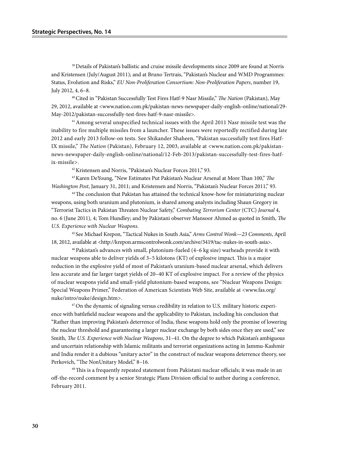<sup>39</sup> Details of Pakistan's ballistic and cruise missile developments since 2009 are found at Norris and Kristensen (July/August 2011); and at Bruno Tertrais, "Pakistan's Nuclear and WMD Programmes: Status, Evolution and Risks," *EU Non-Proliferation Consortium: Non-Proliferation Papers*, number 19, July 2012, 4, 6–8.

40 Cited in "Pakistan Successfully Test Fires Hatf-9 Nasr Missile," *The Nation* (Pakistan), May 29, 2012, available at <www.nation.com.pk/pakistan-news-newspaper-daily-english-online/national/29- May-2012/pakistan-successfully-test-fires-hatf-9-nasr-missile>.

41 Among several unspecified technical issues with the April 2011 Nasr missile test was the inability to fire multiple missiles from a launcher. These issues were reportedly rectified during late 2012 and early 2013 follow-on tests. See Shikander Shaheen, "Pakistan successfully test fires Hatf-IX missile," *The Nation* (Pakistan), February 12, 2003, available at <www.nation.com.pk/pakistannews-newspaper-daily-english-online/national/12-Feb-2013/pakistan-successfully-test-fires-hatfix-missile>.

42 Kristensen and Norris, "Pakistan's Nuclear Forces 2011," 93.

43 Karen DeYoung, "New Estimates Put Pakistan's Nuclear Arsenal at More Than 100," *The Washington Post*, January 31, 2011; and Kristensen and Norris, "Pakistan's Nuclear Forces 2011," 93.

<sup>44</sup>The conclusion that Pakistan has attained the technical know-how for miniaturizing nuclear weapons, using both uranium and plutonium, is shared among analysts including Shaun Gregory in "Terrorist Tactics in Pakistan Threaten Nuclear Safety," *Combating Terrorism Center* (CTC) *Journal* 4, no. 6 (June 2011), 4; Tom Hundley; and by Pakistani observer Mansoor Ahmed as quoted in Smith, *The U.S. Experience with Nuclear Weapons*.

<sup>45</sup> See Michael Krepon, "Tactical Nukes in South Asia," *Arms Control Wonk—23 Comments*, April 18, 2012, available at <http://krepon.armscontrolwonk.com/archive/3419/tac-nukes-in-south-asia>.

46 Pakistan's advances with small, plutonium-fueled (4–6 kg size) warheads provide it with nuclear weapons able to deliver yields of 3–5 kilotons (KT) of explosive impact. This is a major reduction in the explosive yield of most of Pakistan's uranium-based nuclear arsenal, which delivers less accurate and far larger target yields of 20–40 KT of explosive impact. For a review of the physics of nuclear weapons yield and small-yield plutonium-based weapons, see "Nuclear Weapons Design: Special Weapons Primer," Federation of American Scientists Web Site, available at <www.fas.org/ nuke/intro/nuke/design.htm>.

 $47$  On the dynamic of signaling versus credibility in relation to U.S. military historic experience with battlefield nuclear weapons and the applicability to Pakistan, including his conclusion that "Rather than improving Pakistan's deterrence of India, these weapons hold only the promise of lowering the nuclear threshold and guaranteeing a larger nuclear exchange by both sides once they are used," see Smith, *The U.S. Experience with Nuclear Weapons*, 31–41. On the degree to which Pakistan's ambiguous and uncertain relationship with Islamic militants and terrorist organizations acting in Jammu-Kashmir and India render it a dubious "unitary actor" in the construct of nuclear weapons deterrence theory, see Perkovich, "The NonUnitary Model," 8-16.

<sup>48</sup> This is a frequently repeated statement from Pakistani nuclear officials; it was made in an off-the-record comment by a senior Strategic Plans Division official to author during a conference, February 2011.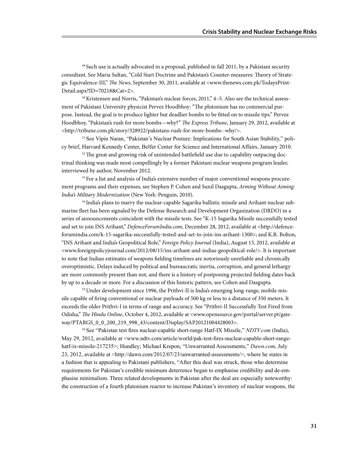49 Such use is actually advocated in a proposal, published in fall 2011, by a Pakistani security consultant. See Maria Sultan, "Cold Start Doctrine and Pakistan's Counter-measures: Theory of Strategic Equivalence-III," *The News*, September 30, 2011, available at <www.thenews.com.pk/TodaysPrint-Detail.aspx?ID=70218&Cat=2>.

<sup>50</sup> Kristensen and Norris, "Pakistan's nuclear forces, 2011," 4–5. Also see the technical assessment of Pakistani University physicist Pervez Hoodbhoy: "The plutonium has no commercial purpose. Instead, the goal is to produce lighter but deadlier bombs to be fitted on to missile tips." Pervez Hoodbhoy, "Pakistan's rush for more bombs—why?" *The Express Tribune*, January 29, 2012, available at <http://tribune.com.pk/story/328922/pakistans-rush-for-more-bombs--why/>.

<sup>51</sup> See Vipin Naran, "Pakistan's Nuclear Posture: Implications for South Asian Stability," policy brief, Harvard Kennedy Center, Belfer Center for Science and International Affairs, January 2010.

 $52$  The great and growing risk of unintended battlefield use due to capability outpacing doctrinal thinking was made most compellingly by a former Pakistani nuclear weapons program leader, interviewed by author, November 2012.

53 For a list and analysis of India's extensive number of major conventional weapons procurement programs and their expenses, see Stephen P. Cohen and Sunil Dasgupta, *Arming Without Aiming: India's Military Modernization* (New York: Penguin, 2010).

54 India's plans to marry the nuclear-capable Sagarika ballistic missile and Arihant nuclear submarine fleet has been signaled by the Defense Research and Development Organization (DRDO) in a series of announcements coincident with the missile tests. See "K-15 Sagarika Missile successfully tested and set to join INS Arihant," *DefenceForumIndia.com*, December 28, 2012, available at <http://defenceforumindia.com/k-15-sagarika-successfully-tested-and-set-to-join-ins-arihant-1300>; and K.R. Bolton, "INS Arihant and India's Geopolitical Role," *Foreign Policy Journal* (India), August 15, 2012, available at <www.foreignpolicyjournal.com/2012/08/15/ins-arihant-and-indias-geopolitical-role/>. It is important to note that Indian estimates of weapons fielding timelines are notoriously unreliable and chronically overoptimistic. Delays induced by political and bureaucratic inertia, corruption, and general lethargy are more commonly present than not, and there is a history of postponing projected fielding dates back by up to a decade or more. For a discussion of this historic pattern, see Cohen and Dasgupta.

<sup>55</sup> Under development since 1996, the Prithvi-II is India's emerging long-range, mobile missile capable of firing conventional or nuclear payloads of 500 kg or less to a distance of 350 meters. It exceeds the older Prithvi-I in terms of range and accuracy. See "Prithvi-II Successfully Test Fired from Odisha," *The Hindu Online*, October 4, 2012, available at <www.opensource.gov/portal/server.pt/gateway/PTARGS\_0\_0\_200\_219\_998\_43/content/Display/SAP20121004428003>.

<sup>56</sup> See "Pakistan test fires nuclear-capable short-range Hatf-IX Missile," *NDTV.com* (India), May 29, 2012, available at <www.ndtv.com/article/world/pak-test-fires-nuclear-capable-short-rangehatf-ix-missile-217235>; Hundley; Michael Krepon, "Unwarranted Assessments," *Dawn.com*, July 23, 2012, available at <http://dawn.com/2012/07/23/unwarranted-assessments/>, where he states in a fashion that is appealing to Pakistani publishers, "After this deal was struck, those who determine requirements for Pakistan's credible minimum deterrence began to emphasise credibility and de-emphasise minimalism. Three related developments in Pakistan after the deal are especially noteworthy: the construction of a fourth plutonium reactor to increase Pakistan's inventory of nuclear weapons, the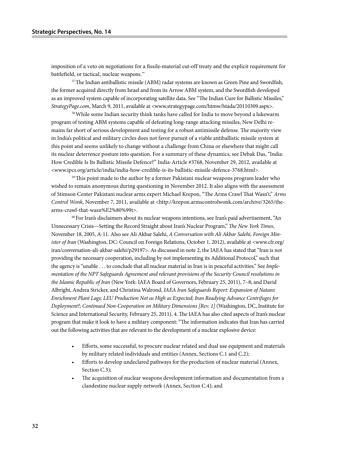imposition of a veto on negotiations for a fissile-material cut-off treaty and the explicit requirement for battlefield, or tactical, nuclear weapons."

57 The Indian antiballistic missile (ABM) radar systems are known as Green Pine and Swordfish, the former acquired directly from Israel and from its Arrow ABM system, and the Swordfish developed as an improved system capable of incorporating satellite data. See "The Indian Cure for Ballistic Missiles," *StrategyPage.com*, March 9, 2011, available at <www.strategypage.com/htmw/htada/20110309.aspx>.

<sup>58</sup> While some Indian security think tanks have called for India to move beyond a lukewarm program of testing ABM systems capable of defeating long-range attacking missiles, New Delhi remains far short of serious development and testing for a robust antimissile defense. The majority view in India's political and military circles does not favor pursuit of a viable antiballistic missile system at this point and seems unlikely to change without a challenge from China or elsewhere that might call its nuclear deterrence posture into question. For a summary of these dynamics, see Debak Das, "India: How Credible Is Its Ballistic Missile Defence?" India-Article #3768, November 29, 2012, available at <www.ipcs.org/article/india/india-how-credible-is-its-ballistic-missile-defence-3768.html>.

 $59$  This point made to the author by a former Pakistani nuclear weapons program leader who wished to remain anonymous during questioning in November 2012. It also aligns with the assessment of Stimson Center Pakistani nuclear arms expert Michael Krepon, "The Arms Crawl That Wasn't," *Arms Control Wonk*, November 7, 2011, available at <http://krepon.armscontrolwonk.com/archive/3265/thearms-crawl-that-wasn%E2%80%99t>.

 $60$  For Iran's disclaimers about its nuclear weapons intentions, see Iran's paid advertisement, "An Unnecessary Crisis—Setting the Record Straight about Iran's Nuclear Program," *The New York Times*, November 18, 2005, A-11. Also see Ali Akbar Salehi, *A Conversation with Ali Akbar Salehi, Foreign Minister of Iran* (Washington, DC: Council on Foreign Relations, October 1, 2012), available at <www.cfr.org/ iran/conversation-ali-akbar-salehi/p29197>. As discussed in note 2, the IAEA has stated that "Iran is not providing the necessary cooperation, including by not implementing its Additional Protocol," such that the agency is "unable . . . to conclude that all nuclear material in Iran is in peaceful activities." See *Implementation of the NPT Safeguards Agreement and relevant provisions of the Security Council resolutions in the Islamic Republic of Iran* (New York: IAEA Board of Governors, February 25, 2011), 7–8; and David Albright, Andrea Stricker, and Christina Walrond, *IAEA Iran Safeguards Report: Expansion of Natanz Enrichment Plant Lags; LEU Production Not as High as Expected; Iran Readying Advance Centrifuges for Deployment?; Continued Non-Cooperation on Military Dimensions [Rev. 1]* (Washington, DC, Institute for Science and International Security, February 25, 2011), 4. The IAEA has also cited aspects of Iran's nuclear program that make it look to have a military component: "The information indicates that Iran has carried out the following activities that are relevant to the development of a nuclear explosive device:

- Efforts, some successful, to procure nuclear related and dual use equipment and materials by military related individuals and entities (Annex, Sections C.1 and C.2);
- Efforts to develop undeclared pathways for the production of nuclear material (Annex, Section C.3);
- The acquisition of nuclear weapons development information and documentation from a clandestine nuclear supply network (Annex, Section C.4); and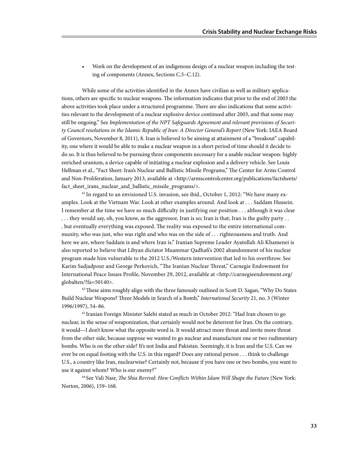• Work on the development of an indigenous design of a nuclear weapon including the testing of components (Annex, Sections C.5–C.12).

While some of the activities identified in the Annex have civilian as well as military applications, others are specific to nuclear weapons. The information indicates that prior to the end of 2003 the above activities took place under a structured programme. There are also indications that some activities relevant to the development of a nuclear explosive device continued after 2003, and that some may still be ongoing." See *Implementation of the NPT Safeguards Agreement and relevant provisions of Security Council resolutions in the Islamic Republic of Iran: A Director General's Report* (New York: IAEA Board of Governors, November 8, 2011), 8. Iran is believed to be aiming at attainment of a "breakout" capability, one where it would be able to make a nuclear weapon in a short period of time should it decide to do so. It is thus believed to be pursuing three components necessary for a usable nuclear weapon: highly enriched uranium, a device capable of initiating a nuclear explosion and a delivery vehicle. See Louis Hellman et al., "Fact Sheet: Iran's Nuclear and Ballistic Missile Programs," The Center for Arms Control and Non-Proliferation, January 2013, available at <http://armscontrolcenter.org/publications/factsheets/ fact\_sheet\_irans\_nuclear\_and\_ballistic\_missile\_programs/>.

<sup>61</sup> In regard to an envisioned U.S. invasion, see ibid., October 1, 2012: "We have many examples. Look at the Vietnam War. Look at other examples around. And look at . . . Saddam Hussein. I remember at the time we have so much difficulty in justifying our position . . . although it was clear . . . they would say, oh, you know, as the aggressor, Iran is so; Iran is that; Iran is the guilty party . . . but eventually everything was exposed. The reality was exposed to the entire international community, who was just, who was right and who was on the side of . . . righteousness and truth. And here we are, where Saddam is and where Iran is." Iranian Supreme Leader Ayatollah Ali Khamenei is also reported to believe that Libyan dictator Muammar Qadhafi's 2002 abandonment of his nuclear program made him vulnerable to the 2012 U.S./Western intervention that led to his overthrow. See Karim Sadjadpour and George Perkovich, "The Iranian Nuclear Threat," Carnegie Endowment for International Peace Issues Profile, November 29, 2012, available at <http://carnegieendowment.org/ globalten/?fa=50140>.

 $62$  These aims roughly align with the three famously outlined in Scott D. Sagan, "Why Do States" Build Nuclear Weapons? Three Models in Search of a Bomb," *International Security* 21, no. 3 (Winter 1996/1997), 54–86.

63 Iranian Foreign Minister Salehi stated as much in October 2012: "Had Iran chosen to go nuclear, in the sense of weaponization, that certainly would not be deterrent for Iran. On the contrary, it would—I don't know what the opposite word is. It would attract more threat and invite more threat from the other side, because suppose we wanted to go nuclear and manufacture one or two rudimentary bombs. Who is on the other side? It's not India and Pakistan. Seemingly, it is Iran and the U.S. Can we ever be on equal footing with the U.S. in this regard? Does any rational person . . . think to challenge U.S., a country like Iran, nuclearwise? Certainly not, because if you have one or two bombs, you want to use it against whom? Who is our enemy?"

64 See Vali Nasr, *The Shia Revival: How Conflicts Within Islam Will Shape the Future* (New York: Norton, 2006), 159–168.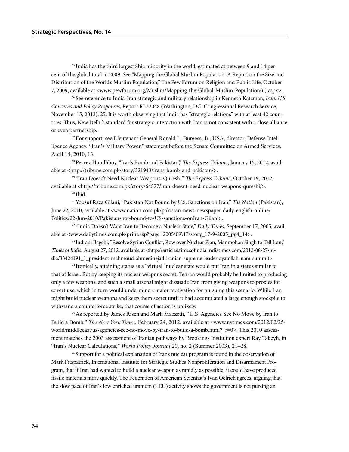65 India has the third largest Shia minority in the world, estimated at between 9 and 14 percent of the global total in 2009. See "Mapping the Global Muslim Population: A Report on the Size and Distribution of the World's Muslim Population," The Pew Forum on Religion and Public Life, October 7, 2009, available at <www.pewforum.org/Muslim/Mapping-the-Global-Muslim-Population(6).aspx>.

66 See reference to India-Iran strategic and military relationship in Kenneth Katzman, *Iran: U.S. Concerns and Policy Responses*, Report RL32048 (Washington, DC: Congressional Research Service, November 15, 2012), 25. It is worth observing that India has "strategic relations" with at least 42 countries. Thus, New Delhi's standard for strategic interaction with Iran is not consistent with a close alliance or even partnership.

<sup>67</sup> For support, see Lieutenant General Ronald L. Burgess, Jr., USA, director, Defense Intelligence Agency, "Iran's Military Power," statement before the Senate Committee on Armed Services, April 14, 2010, 13.

68 Pervez Hoodhboy, "Iran's Bomb and Pakistan," *The Express Tribune*, January 15, 2012, available at <http://tribune.com.pk/story/321943/irans-bomb-and-pakistan/>.

69 "Iran Doesn't Need Nuclear Weapons: Qureshi," *The Express Tribune*, October 19, 2012, available at <http://tribune.com.pk/story/64577/iran-doesnt-need-nuclear-weapons-qureshi/>.

70 Ibid.

71 Yousuf Raza Gilani, "Pakistan Not Bound by U.S. Sanctions on Iran," *The Nation* (Pakistan), June 22, 2010, available at <www.nation.com.pk/pakistan-news-newspaper-daily-english-online/ Politics/22-Jun-2010/Pakistan-not-bound-to-US-sanctions-onIran-Gilani>.

72 "India Doesn't Want Iran to Become a Nuclear State," *Daily Times,* September 17, 2005, available at <www.dailytimes.com.pk/print.asp?page=2005\09\17\story\_17-9-2005\_pg4\_14>.

73 Indrani Bagchi, "Resolve Syrian Conflict, Row over Nuclear Plan, Manmohan Singh to Tell Iran," *Times of India*, August 27, 2012, available at <http://articles.timesofindia.indiatimes.com/2012-08-27/india/33424191\_1\_president-mahmoud-ahmedinejad-iranian-supreme-leader-ayatollah-nam-summit>.

74 Ironically, attaining status as a "virtual" nuclear state would put Iran in a status similar to that of Israel. But by keeping its nuclear weapons secret, Tehran would probably be limited to producing only a few weapons, and such a small arsenal might dissuade Iran from giving weapons to proxies for covert use, which in turn would undermine a major motivation for pursuing this scenario. While Iran might build nuclear weapons and keep them secret until it had accumulated a large enough stockpile to withstand a counterforce strike, that course of action is unlikely.

<sup>75</sup>As reported by James Risen and Mark Mazzetti, "U.S. Agencies See No Move by Iran to Build a Bomb," *The New York Times*, February 24, 2012, available at <www.nytimes.com/2012/02/25/ world/middleeast/us-agencies-see-no-move-by-iran-to-build-a-bomb.html?\_r=0>. This 2010 assessment matches the 2003 assessment of Iranian pathways by Brookings Institution expert Ray Takeyh, in "Iran's Nuclear Calculations," *World Policy Journal* 20, no. 2 (Summer 2003), 21–28.

76 Support for a political explanation of Iran's nuclear program is found in the observation of Mark Fitzpatrick, International Institute for Strategic Studies Nonproliferation and Disarmament Program, that if Iran had wanted to build a nuclear weapon as rapidly as possible, it could have produced fissile materials more quickly. The Federation of American Scientist's Ivan Oelrich agrees, arguing that the slow pace of Iran's low enriched uranium (LEU) activity shows the government is not pursing an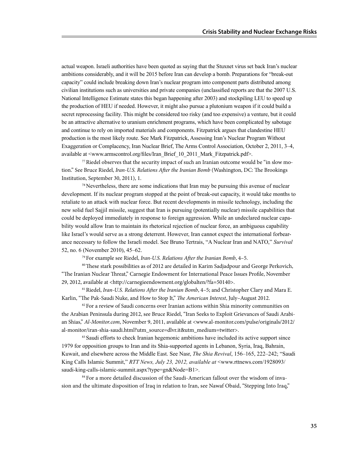actual weapon. Israeli authorities have been quoted as saying that the Stuxnet virus set back Iran's nuclear ambitions considerably, and it will be 2015 before Iran can develop a bomb. Preparations for "break-out capacity" could include breaking down Iran's nuclear program into component parts distributed among civilian institutions such as universities and private companies (unclassified reports are that the 2007 U.S. National Intelligence Estimate states this began happening after 2003) and stockpiling LEU to speed up the production of HEU if needed. However, it might also pursue a plutonium weapon if it could build a secret reprocessing facility. This might be considered too risky (and too expensive) a venture, but it could be an attractive alternative to uranium enrichment programs, which have been complicated by sabotage and continue to rely on imported materials and components. Fitzpatrick argues that clandestine HEU production is the most likely route. See Mark Fitzpatrick, Assessing Iran's Nuclear Program Without Exaggeration or Complacency, Iran Nuclear Brief, The Arms Control Association, October 2, 2011, 3–4, available at <www.armscontrol.org/files/Iran\_Brief\_10\_2011\_Mark\_Fitzpatrick.pdf>.

77 Riedel observes that the security impact of such an Iranian outcome would be "in slow motion." See Bruce Riedel, *Iran-U.S. Relations After the Iranian Bomb* (Washington, DC: The Brookings Institution, September 30, 2011), 1.

<sup>78</sup> Nevertheless, there are some indications that Iran may be pursuing this avenue of nuclear development. If its nuclear program stopped at the point of break-out capacity, it would take months to retaliate to an attack with nuclear force. But recent developments in missile technology, including the new solid fuel Sajjil missile, suggest that Iran is pursuing (potentially nuclear) missile capabilities that could be deployed immediately in response to foreign aggression. While an undeclared nuclear capability would allow Iran to maintain its rhetorical rejection of nuclear force, an ambiguous capability like Israel's would serve as a strong deterrent. However, Iran cannot expect the international forbearance necessary to follow the Israeli model. See Bruno Tertrais, "A Nuclear Iran and NATO," *Survival* 52, no. 6 (November 2010), 45–62.

79 For example see Riedel, *Iran-U.S. Relations After the Iranian Bomb*, 4–5.

80 These stark possibilities as of 2012 are detailed in Karim Sadjadpour and George Perkovich, "The Iranian Nuclear Threat," Carnegie Endowment for International Peace Issues Profile, November 29, 2012, available at <http://carnegieendowment.org/globalten/?fa=50140>.

81 Riedel, *Iran-U.S. Relations After the Iranian Bomb*, 4–5; and Christopher Clary and Mara E. Karlin, "The Pak-Saudi Nuke, and How to Stop It," *The American Interest*, July–August 2012.

<sup>82</sup> For a review of Saudi concerns over Iranian actions within Shia minority communities on the Arabian Peninsula during 2012, see Bruce Riedel, "Iran Seeks to Exploit Grievances of Saudi Arabian Shias," *Al-Monitor.com*, November 9, 2011, available at <www.al-monitor.com/pulse/originals/2012/ al-monitor/iran-shia-saudi.html?utm\_source=dlvr.it&utm\_medium=twitter>.

<sup>83</sup> Saudi efforts to check Iranian hegemonic ambitions have included its active support since 1979 for opposition groups to Iran and its Shia-supported agents in Lebanon, Syria, Iraq, Bahrain, Kuwait, and elsewhere across the Middle East. See Nasr, *The Shia Revival*, 156–165, 222–242; "Saudi King Calls Islamic Summit," *RTT News, July 23, 2012, available at* <www.rttnews.com/1928093/ saudi-king-calls-islamic-summit.aspx?type=gn&Node=B1>.

84 For a more detailed discussion of the Saudi-American fallout over the wisdom of invasion and the ultimate disposition of Iraq in relation to Iran, see Nawaf Obaid, "Stepping Into Iraq,"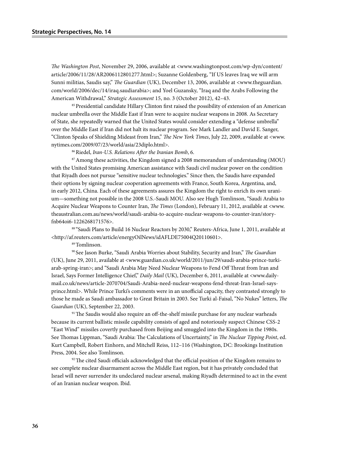*The Washington Post*, November 29, 2006, available at <www.washingtonpost.com/wp-dyn/content/ article/2006/11/28/AR2006112801277.html>; Suzanne Goldenberg, "If US leaves Iraq we will arm Sunni militias, Saudis say," *The Guardian* (UK), December 13, 2006, available at <www.theguardian. com/world/2006/dec/14/iraq.saudiarabia>; and Yoel Guzansky, "Iraq and the Arabs Following the American Withdrawal," *Strategic Assessment* 15, no. 3 (October 2012), 42–43.

85 Presidential candidate Hillary Clinton first raised the possibility of extension of an American nuclear umbrella over the Middle East if Iran were to acquire nuclear weapons in 2008. As Secretary of State, she repeatedly warned that the United States would consider extending a "defense umbrella" over the Middle East if Iran did not halt its nuclear program. See Mark Landler and David E. Sanger, "Clinton Speaks of Shielding Mideast from Iran," *The New York Times*, July 22, 2009, available at <www. nytimes.com/2009/07/23/world/asia/23diplo.html>.

86 Riedel, *Iran-U.S. Relations After the Iranian Bomb*, 6.

 $87$  Among these activities, the Kingdom signed a 2008 memorandum of understanding (MOU) with the United States promising American assistance with Saudi civil nuclear power on the condition that Riyadh does not pursue "sensitive nuclear technologies." Since then, the Saudis have expanded their options by signing nuclear cooperation agreements with France, South Korea, Argentina, and, in early 2012, China. Each of these agreements assures the Kingdom the right to enrich its own uranium—something not possible in the 2008 U.S.-Saudi MOU. Also see Hugh Tomlinson, "Saudi Arabia to Acquire Nuclear Weapons to Counter Iran, *The Times* (London), February 11, 2012, available at <www. theaustralian.com.au/news/world/saudi-arabia-to-acquire-nuclear-weapons-to-counter-iran/storyfnb64oi6-1226268171576>.

88 "Saudi Plans to Build 16 Nuclear Reactors by 2030," Reuters-Africa, June 1, 2011, available at <http://af.reuters.com/article/energyOilNews/idAFLDE75004Q20110601>.

89 Tomlinson.

90 See Jason Burke, "Saudi Arabia Worries about Stability, Security and Iran," *The Guardian*  (UK), June 29, 2011, available at <www.guardian.co.uk/world/2011/jun/29/saudi-arabia-prince-turkiarab-spring-iran>; and "Saudi Arabia May Need Nuclear Weapons to Fend Off Threat from Iran and Israel, Says Former Intelligence Chief," *Daily Mail* (UK), December 6, 2011, available at <www.dailymail.co.uk/news/article-2070704/Saudi-Arabia-need-nuclear-weapons-fend-threat-Iran-Israel-saysprince.html>. While Prince Turki's comments were in an unofficial capacity, they contrasted strongly to those he made as Saudi ambassador to Great Britain in 2003. See Turki al-Faisal, "No Nukes" letters, *The Guardian* (UK), September 22, 2003.

<sup>91</sup> The Saudis would also require an off-the-shelf missile purchase for any nuclear warheads because its current ballistic missile capability consists of aged and notoriously suspect Chinese CSS-2 "East Wind" missiles covertly purchased from Beijing and smuggled into the Kingdom in the 1980s. See Thomas Lippman, "Saudi Arabia: The Calculations of Uncertainty," in *The Nuclear Tipping Point*, ed. Kurt Campbell, Robert Einhorn, and Mitchell Reiss, 112–116 (Washington, DC: Brookings Institution Press, 2004. See also Tomlinson.

 $92$ <sup>22</sup> The cited Saudi officials acknowledged that the official position of the Kingdom remains to see complete nuclear disarmament across the Middle East region, but it has privately concluded that Israel will never surrender its undeclared nuclear arsenal, making Riyadh determined to act in the event of an Iranian nuclear weapon. Ibid.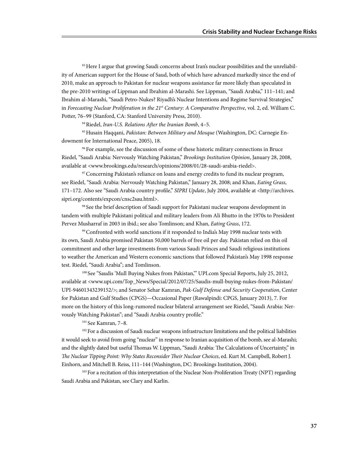93 Here I argue that growing Saudi concerns about Iran's nuclear possibilities and the unreliability of American support for the House of Saud, both of which have advanced markedly since the end of 2010, make an approach to Pakistan for nuclear weapons assistance far more likely than speculated in the pre-2010 writings of Lippman and Ibrahim al-Marashi. See Lippman, "Saudi Arabia," 111–141; and Ibrahim al-Marashi, "Saudi Petro-Nukes? Riyadh's Nuclear Intentions and Regime Survival Strategies," in *Forecasting Nuclear Proliferation in the 21st Century: A Comparative Perspective*, vol. 2, ed. William C. Potter, 76–99 (Stanford, CA: Stanford University Press, 2010).

94 Riedel, *Iran-U.S. Relations After the Iranian Bomb*, 4–5.

95 Husain Haqqani, *Pakistan: Between Military and Mosque* (Washington, DC: Carnegie Endowment for International Peace, 2005), 18.

96 For example, see the discussion of some of these historic military connections in Bruce Riedel, "Saudi Arabia: Nervously Watching Pakistan," *Brookings Institution Opinion*, January 28, 2008, available at <www.brookings.edu/research/opinions/2008/01/28-saudi-arabia-riedel>.

 $97$  Concerning Pakistan's reliance on loans and energy credits to fund its nuclear program, see Riedel, "Saudi Arabia: Nervously Watching Pakistan," January 28, 2008; and Khan, *Eating Grass*, 171–172. Also see "Saudi Arabia country profile," *SIPRI Update*, July 2004, available at <http://archives. sipri.org/contents/expcon/cnsc2sau.html>.

98 See the brief description of Saudi support for Pakistani nuclear weapons development in tandem with multiple Pakistani political and military leaders from Ali Bhutto in the 1970s to President Pervez Musharraf in 2003 in ibid.; see also Tomlinson; and Khan, *Eating Grass*, 172.

<sup>99</sup> Confronted with world sanctions if it responded to India's May 1998 nuclear tests with its own, Saudi Arabia promised Pakistan 50,000 barrels of free oil per day. Pakistan relied on this oil commitment and other large investments from various Saudi Princes and Saudi religious institutions to weather the American and Western economic sanctions that followed Pakistan's May 1998 response test. Riedel, "Saudi Arabia"; and Tomlinson.

<sup>100</sup> See "Saudis 'Mull Buying Nukes from Pakistan," UPI.com Special Reports, July 25, 2012, available at <www.upi.com/Top\_News/Special/2012/07/25/Saudis-mull-buying-nukes-from-Pakistan/ UPI-94601343239152/>; and Senator Sehar Kamran, *Pak-Gulf Defense and Security Cooperation*, Center for Pakistan and Gulf Studies (CPGS)—Occasional Paper (Rawalpindi: CPGS, January 2013), 7. For more on the history of this long-rumored nuclear bilateral arrangement see Riedel, "Saudi Arabia: Nervously Watching Pakistan"; and "Saudi Arabia country profile."

<sup>101</sup> See Kamran, 7–8.

<sup>102</sup> For a discussion of Saudi nuclear weapons infrastructure limitations and the political liabilities it would seek to avoid from going "nuclear" in response to Iranian acquisition of the bomb, see al-Marashi; and the slightly dated but useful Thomas W. Lippman, "Saudi Arabia: The Calculations of Uncertainty," in *The Nuclear Tipping Point: Why States Reconsider Their Nuclear Choices*, ed. Kurt M. Campbell, Robert J. Einhorn, and Mitchell B. Reiss, 111–144 (Washington, DC: Brookings Institution, 2004).

<sup>103</sup> For a recitation of this interpretation of the Nuclear Non-Proliferation Treaty (NPT) regarding Saudi Arabia and Pakistan, see Clary and Karlin.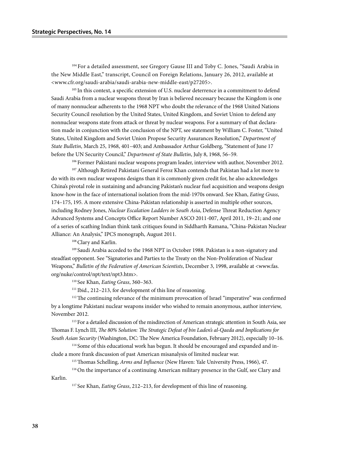104 For a detailed assessment, see Gregory Gause III and Toby C. Jones, "Saudi Arabia in the New Middle East," transcript, Council on Foreign Relations, January 26, 2012, available at <www.cfr.org/saudi-arabia/saudi-arabia-new-middle-east/p27205>.

<sup>105</sup> In this context, a specific extension of U.S. nuclear deterrence in a commitment to defend Saudi Arabia from a nuclear weapons threat by Iran is believed necessary because the Kingdom is one of many nonnuclear adherents to the 1968 NPT who doubt the relevance of the 1968 United Nations Security Council resolution by the United States, United Kingdom, and Soviet Union to defend any nonnuclear weapons state from attack or threat by nuclear weapons. For a summary of that declaration made in conjunction with the conclusion of the NPT, see statement by William C. Foster, "United States, United Kingdom and Soviet Union Propose Security Assurances Resolution," *Department of State Bulletin*, March 25, 1968, 401–403; and Ambassador Arthur Goldberg, "Statement of June 17 before the UN Security Council," *Department of State Bulletin*, July 8, 1968, 56–59.

106 Former Pakistani nuclear weapons program leader, interview with author, November 2012. <sup>107</sup> Although Retired Pakistani General Feroz Khan contends that Pakistan had a lot more to do with its own nuclear weapons designs than it is commonly given credit for, he also acknowledges China's pivotal role in sustaining and advancing Pakistan's nuclear fuel acquisition and weapons design know-how in the face of international isolation from the mid-1970s onward. See Khan, *Eating Grass*, 174–175, 195. A more extensive China-Pakistan relationship is asserted in multiple other sources, including Rodney Jones, *Nuclear Escalation Ladders in South Asia*, Defense Threat Reduction Agency Advanced Systems and Concepts Office Report Number ASCO 2011-007, April 2011, 19–21; and one of a series of scathing Indian think tank critiques found in Siddharth Ramana, "China-Pakistan Nuclear Alliance: An Analysis," IPCS monograph, August 2011.

108 Clary and Karlin.

109 Saudi Arabia acceded to the 1968 NPT in October 1988. Pakistan is a non-signatory and steadfast opponent. See "Signatories and Parties to the Treaty on the Non-Proliferation of Nuclear Weapons," *Bulletin of the Federation of American Scientists*, December 3, 1998, available at <www.fas. org/nuke/control/npt/text/npt3.htm>.

110 See Khan, *Eating Grass*, 360–363.

111 Ibid., 212–213, for development of this line of reasoning.

<sup>112</sup> The continuing relevance of the minimum provocation of Israel "imperative" was confirmed by a longtime Pakistani nuclear weapons insider who wished to remain anonymous, author interview, November 2012.

<sup>113</sup> For a detailed discussion of the misdirection of American strategic attention in South Asia, see Thomas F. Lynch III, *The 80% Solution: The Strategic Defeat of bin Laden's al-Qaeda and Implications for South Asian Security* (Washington, DC: The New America Foundation, February 2012), especially 10–16.

114 Some of this educational work has begun. It should be encouraged and expanded and include a more frank discussion of past American misanalysis of limited nuclear war.

115 Thomas Schelling, *Arms and Influence* (New Haven: Yale University Press, 1966), 47.

116 On the importance of a continuing American military presence in the Gulf, see Clary and

Karlin.

117 See Khan, *Eating Grass*, 212–213, for development of this line of reasoning.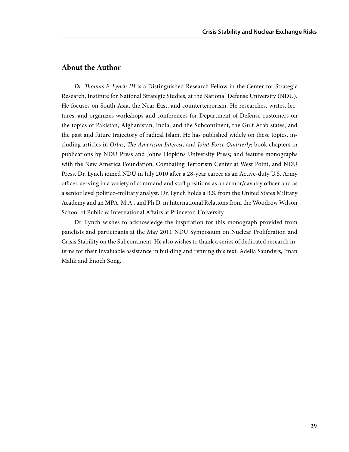## **About the Author**

*Dr. Thomas F. Lynch III* is a Distinguished Research Fellow in the Center for Strategic Research, Institute for National Strategic Studies, at the National Defense University (NDU). He focuses on South Asia, the Near East, and counterterrorism. He researches, writes, lectures, and organizes workshops and conferences for Department of Defense customers on the topics of Pakistan, Afghanistan, India, and the Subcontinent, the Gulf Arab states, and the past and future trajectory of radical Islam. He has published widely on these topics, including articles in *Orbis*, *The American Interest*, and *Joint Force Quarterly*; book chapters in publications by NDU Press and Johns Hopkins University Press; and feature monographs with the New America Foundation, Combating Terrorism Center at West Point, and NDU Press. Dr. Lynch joined NDU in July 2010 after a 28-year career as an Active-duty U.S. Army officer, serving in a variety of command and staff positions as an armor/cavalry officer and as a senior level politico-military analyst. Dr. Lynch holds a B.S. from the United States Military Academy and an MPA, M.A., and Ph.D. in International Relations from the Woodrow Wilson School of Public & International Affairs at Princeton University.

Dr. Lynch wishes to acknowledge the inspiration for this monograph provided from panelists and participants at the May 2011 NDU Symposium on Nuclear Proliferation and Crisis Stability on the Subcontinent. He also wishes to thank a series of dedicated research interns for their invaluable assistance in building and refining this text: Adelia Saunders, Iman Malik and Enoch Song.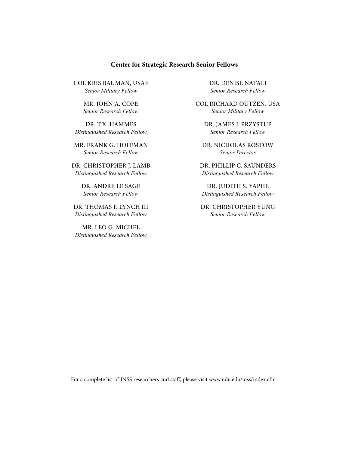#### **Center for Strategic Research Senior Fellows**

Col kris bauman, USAF *Senior Military Fellow*

> Mr. John A. Cope *Senior Research Fellow*

Dr. T.X. Hammes *Distinguished Research Fellow*

Mr. Frank G. Hoffman *Senior Research Fellow*

Dr. Christopher J. Lamb *Distinguished Research Fellow*

> Dr. Andre Le Sage *Senior Research Fellow*

Dr. Thomas F. Lynch III *Distinguished Research Fellow*

Mr. Leo G. Michel *Distinguished Research Fellow* Dr. denise natali *Senior Research Fellow*

COL richard outzen, usa *Senior Military Fellow*

Dr. James J. Przystup *Senior Research Fellow*

Dr. Nicholas Rostow *Senior Director*

Dr. Phillip C. Saunders *Distinguished Research Fellow*

Dr. Judith S. Yaphe *Distinguished Research Fellow*

Dr. Christopher Yung *Senior Research Fellow*

For a complete list of INSS researchers and staff, please visit www.ndu.edu/inss/index.cfm.